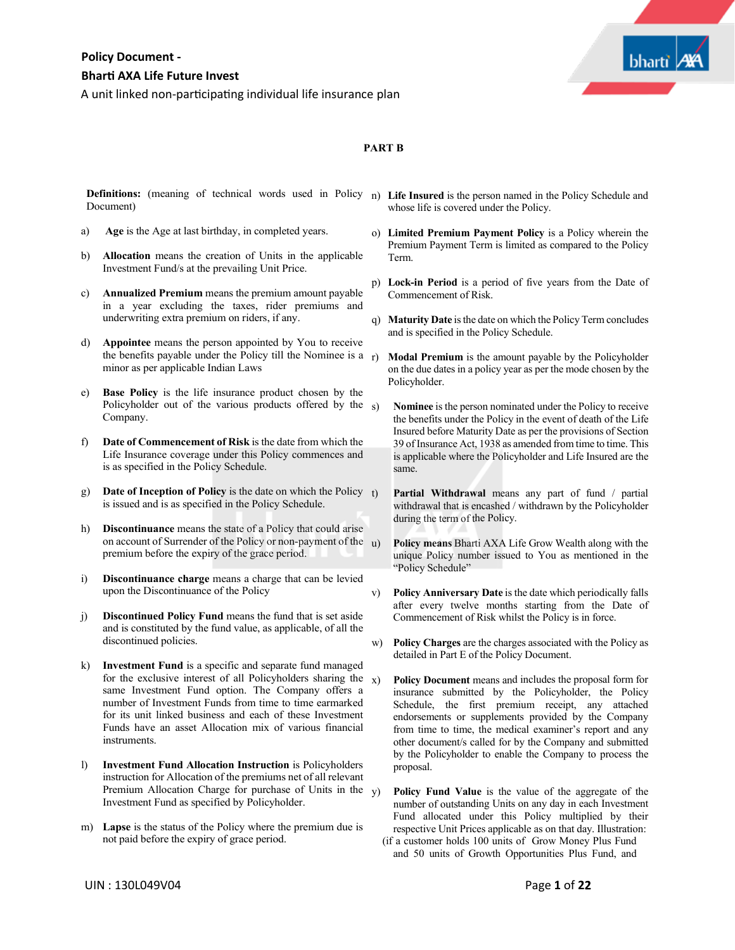

# **PART B**

**Definitions:** (meaning of technical words used in Policy n) **Life Insured** is the person named in the Policy Schedule and Document)

- a) **Age** is the Age at last birthday, in completed years.
- b) **Allocation** means the creation of Units in the applicable Investment Fund/s at the prevailing Unit Price.
- c) **Annualized Premium** means the premium amount payable in a year excluding the taxes, rider premiums and underwriting extra premium on riders, if any.
- d) **Appointee** means the person appointed by You to receive the benefits payable under the Policy till the Nominee is a minor as per applicable Indian Laws
- e) **Base Policy** is the life insurance product chosen by the Policyholder out of the various products offered by the Company.
- f) **Date of Commencement of Risk** is the date from which the Life Insurance coverage under this Policy commences and is as specified in the Policy Schedule.
- g) **Date of Inception of Policy** is the date on which the Policy is issued and is as specified in the Policy Schedule.
- h) **Discontinuance** means the state of a Policy that could arise on account of Surrender of the Policy or non-payment of the  $\mu$ ) premium before the expiry of the grace period.
- i) **Discontinuance charge** means a charge that can be levied upon the Discontinuance of the Policy
- j) **Discontinued Policy Fund** means the fund that is set aside and is constituted by the fund value, as applicable, of all the discontinued policies.
- k) **Investment Fund** is a specific and separate fund managed for the exclusive interest of all Policyholders sharing the  $x$ ) same Investment Fund option. The Company offers a number of Investment Funds from time to time earmarked for its unit linked business and each of these Investment Funds have an asset Allocation mix of various financial instruments.
- l) **Investment Fund Allocation Instruction** is Policyholders instruction for Allocation of the premiums net of all relevant Premium Allocation Charge for purchase of Units in the  $_V$ ) Investment Fund as specified by Policyholder.
- m) **Lapse** is the status of the Policy where the premium due is not paid before the expiry of grace period.
- whose life is covered under the Policy.
- o) **Limited Premium Payment Policy** is a Policy wherein the Premium Payment Term is limited as compared to the Policy Term.
- p) **Lock-in Period** is a period of five years from the Date of Commencement of Risk.
- q) **Maturity Date** isthe date on which the Policy Term concludes and is specified in the Policy Schedule.
- r) **Modal Premium** is the amount payable by the Policyholder on the due dates in a policy year as per the mode chosen by the Policyholder.
- s) **Nominee** is the person nominated under the Policy to receive the benefits under the Policy in the event of death of the Life Insured before Maturity Date as per the provisions of Section 39 of Insurance Act, 1938 as amended from time to time. This is applicable where the Policyholder and Life Insured are the same.
	- Partial Withdrawal means any part of fund / partial withdrawal that is encashed / withdrawn by the Policyholder during the term of the Policy.
	- Policy means Bharti AXA Life Grow Wealth along with the unique Policy number issued to You as mentioned in the "Policy Schedule"
- v) **Policy Anniversary Date** is the date which periodically falls after every twelve months starting from the Date of Commencement of Risk whilst the Policy is in force.
- w) **Policy Charges** are the charges associated with the Policy as detailed in Part E of the Policy Document.
- x) **Policy Document** means and includes the proposal form for insurance submitted by the Policyholder, the Policy Schedule, the first premium receipt, any attached endorsements or supplements provided by the Company from time to time, the medical examiner's report and any other document/s called for by the Company and submitted by the Policyholder to enable the Company to process the proposal.
- Policy Fund Value is the value of the aggregate of the number of outstanding Units on any day in each Investment Fund allocated under this Policy multiplied by their respective Unit Prices applicable as on that day. Illustration:
- (if a customer holds 100 units of Grow Money Plus Fund and 50 units of Growth Opportunities Plus Fund, and

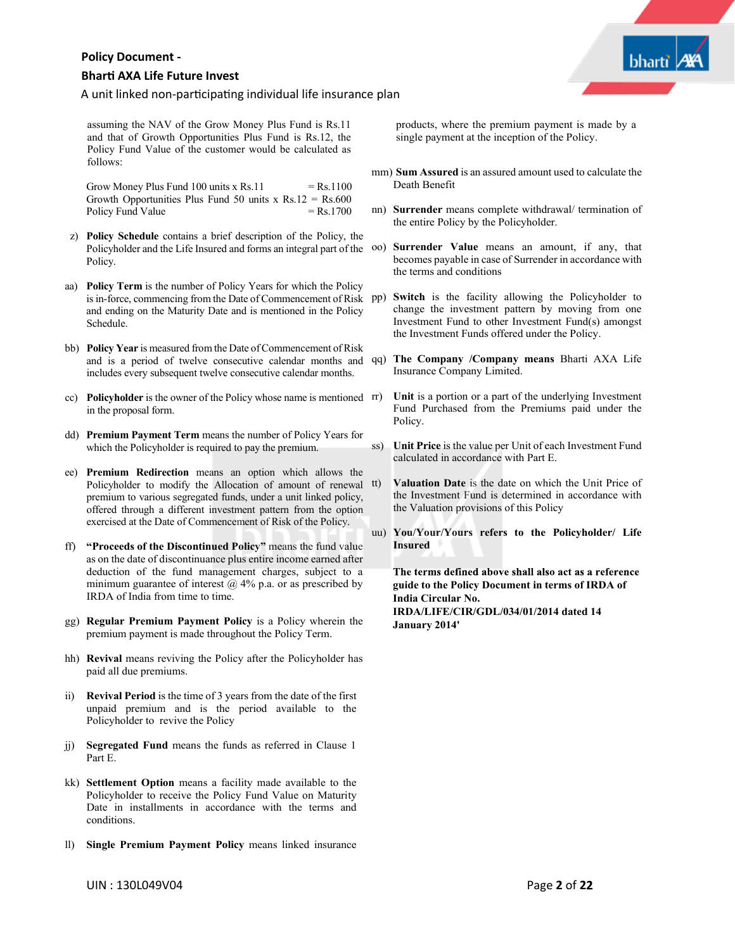# **Bhar� AXA Life Future Invest**

# A unit linked non-participating individual life insurance plan

assuming the NAV of the Grow Money Plus Fund is Rs.11 and that of Growth Opportunities Plus Fund is Rs.12, the Policy Fund Value of the customer would be calculated as follows:

Grow Money Plus Fund 100 units x Rs.11  $=$  Rs.1100 Growth Opportunities Plus Fund 50 units  $x \text{ Rs.}12 = \text{Rs.}600$ Policy Fund Value  $=$  Rs.1700

- z) **Policy Schedule** contains a brief description of the Policy, the Policyholder and the Life Insured and forms an integral part of the Policy.
- aa) **Policy Term** is the number of Policy Years for which the Policy is in-force, commencing from the Date of Commencement of Risk pp) and ending on the Maturity Date and is mentioned in the Policy Schedule.
- bb) **Policy Year** is measured from the Date of Commencement of Risk and is a period of twelve consecutive calendar months and qq) **The Company /Company means** Bharti AXA Life includes every subsequent twelve consecutive calendar months.
- cc) **Policyholder** is the owner of the Policy whose name is mentioned in the proposal form.
- dd) **Premium Payment Term** means the number of Policy Years for which the Policyholder is required to pay the premium.
- ee) **Premium Redirection** means an option which allows the Policyholder to modify the Allocation of amount of renewal tt) premium to various segregated funds, under a unit linked policy, offered through a different investment pattern from the option exercised at the Date of Commencement of Risk of the Policy.
- ff) **"Proceeds of the Discontinued Policy"** means the fund value as on the date of discontinuance plus entire income earned after deduction of the fund management charges, subject to a minimum guarantee of interest  $\omega$  4% p.a. or as prescribed by IRDA of India from time to time.
- gg) **Regular Premium Payment Policy** is a Policy wherein the premium payment is made throughout the Policy Term.
- hh) **Revival** means reviving the Policy after the Policyholder has paid all due premiums.
- ii) **Revival Period** is the time of 3 years from the date of the first unpaid premium and is the period available to the Policyholder to revive the Policy
- jj) **Segregated Fund** means the funds as referred in Clause 1 Part E.
- kk) **Settlement Option** means a facility made available to the Policyholder to receive the Policy Fund Value on Maturity Date in installments in accordance with the terms and conditions.
- **Single Premium Payment Policy means linked insurance**

products, where the premium payment is made by a single payment at the inception of the Policy.

- mm) **Sum Assured** is an assured amount used to calculate the Death Benefit
- nn) **Surrender** means complete withdrawal/ termination of the entire Policy by the Policyholder.
- oo) **Surrender Value** means an amount, if any, that becomes payable in case of Surrender in accordance with the terms and conditions
- Switch is the facility allowing the Policyholder to change the investment pattern by moving from one Investment Fund to other Investment Fund(s) amongst the Investment Funds offered under the Policy.
- Insurance Company Limited.
- Unit is a portion or a part of the underlying Investment Fund Purchased from the Premiums paid under the Policy.
- ss) **Unit Price** is the value per Unit of each Investment Fund calculated in accordance with Part E.
- **Valuation Date** is the date on which the Unit Price of the Investment Fund is determined in accordance with the Valuation provisions of this Policy
- uu) **You/Your/Yours refers to the Policyholder/ Life Insured**

The terms defined above shall also act as a reference **guide to the Policy Document in terms of IRDA of India Circular No. IRDA/LIFE/CIR/GDL/034/01/2014 dated 14 January 2014'**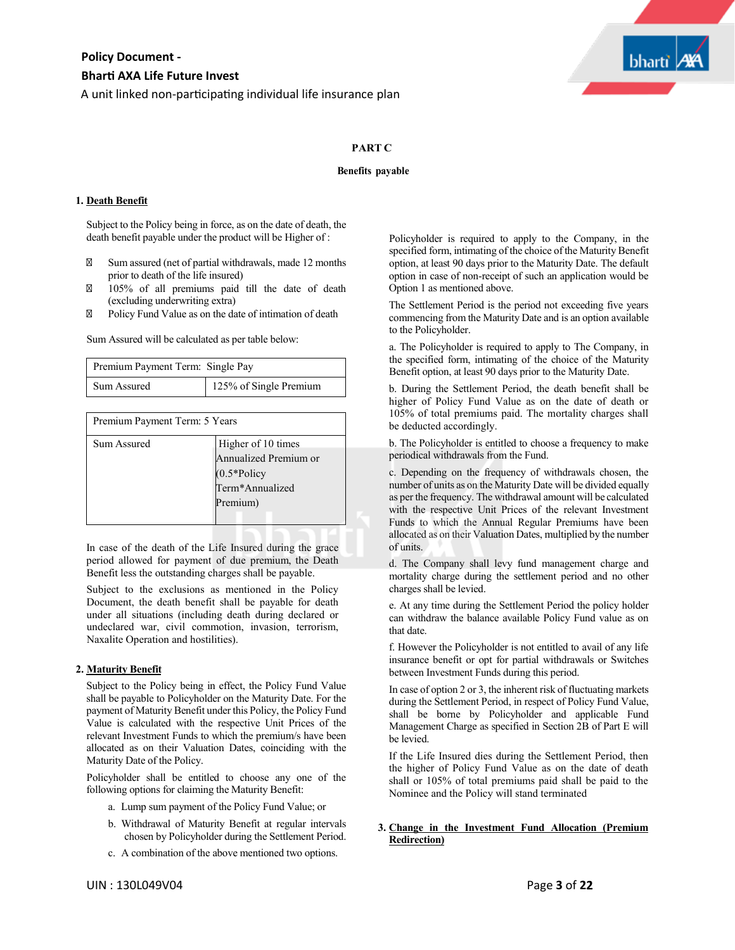

### **PART C**

#### **Benefits payable**

#### **1. Death Benefit**

Subject to the Policy being in force, as on the date of death, the death benefit payable under the product will be Higher of :

Sum assured (net of partial withdrawals, made 12 months prior to death of the life insured)

105% of all premiums paid till the date of death (excluding underwriting extra)

Policy Fund Value as on the date of intimation of death

Sum Assured will be calculated as per table below:

| Premium Payment Term: Single Pay |                        |
|----------------------------------|------------------------|
| Sum Assured                      | 125% of Single Premium |
|                                  |                        |

| Premium Payment Term: 5 Years |                                                                                              |  |
|-------------------------------|----------------------------------------------------------------------------------------------|--|
| Sum Assured                   | Higher of 10 times<br>Annualized Premium or<br>$(0.5*Policy)$<br>Term*Annualized<br>Premium) |  |
|                               |                                                                                              |  |

In case of the death of the Life Insured during the grace period allowed for payment of due premium, the Death Benefit less the outstanding charges shall be payable.

Subject to the exclusions as mentioned in the Policy Document, the death benefit shall be payable for death under all situations (including death during declared or undeclared war, civil commotion, invasion, terrorism, Naxalite Operation and hostilities).

#### **2. Maturity Benefit**

Subject to the Policy being in effect, the Policy Fund Value shall be payable to Policyholder on the Maturity Date. For the payment of Maturity Benefit under this Policy, the Policy Fund Value is calculated with the respective Unit Prices of the relevant Investment Funds to which the premium/s have been allocated as on their Valuation Dates, coinciding with the Maturity Date of the Policy.

Policyholder shall be entitled to choose any one of the following options for claiming the Maturity Benefit:

- a. Lump sum payment of the Policy Fund Value; or
- b. Withdrawal of Maturity Benefit at regular intervals chosen by Policyholder during the Settlement Period.
- c. A combination of the above mentioned two options.

Policyholder is required to apply to the Company, in the specified form, intimating of the choice of the Maturity Benefit option, at least 90 days prior to the Maturity Date. The default option in case of non-receipt of such an application would be Option 1 as mentioned above.

The Settlement Period is the period not exceeding five years commencing from the Maturity Date and is an option available to the Policyholder.

a. The Policyholder is required to apply to The Company, in the specified form, intimating of the choice of the Maturity Benefit option, at least 90 days prior to the Maturity Date.

b. During the Settlement Period, the death benefit shall be higher of Policy Fund Value as on the date of death or 105% of total premiums paid. The mortality charges shall be deducted accordingly.

b. The Policyholder is entitled to choose a frequency to make periodical withdrawals from the Fund.

c. Depending on the frequency of withdrawals chosen, the number of units as on the Maturity Date will be divided equally as per the frequency. The withdrawal amount will be calculated with the respective Unit Prices of the relevant Investment Funds to which the Annual Regular Premiums have been allocated as on their Valuation Dates, multiplied by the number of units.

d. The Company shall levy fund management charge and mortality charge during the settlement period and no other charges shall be levied.

e. At any time during the Settlement Period the policy holder can withdraw the balance available Policy Fund value as on that date.

f. However the Policyholder is not entitled to avail of any life insurance benefit or opt for partial withdrawals or Switches between Investment Funds during this period.

In case of option 2 or 3, the inherent risk of fluctuating markets during the Settlement Period, in respect of Policy Fund Value, shall be borne by Policyholder and applicable Fund Management Charge as specified in Section 2B of Part E will be levied.

If the Life Insured dies during the Settlement Period, then the higher of Policy Fund Value as on the date of death shall or 105% of total premiums paid shall be paid to the Nominee and the Policy will stand terminated

# **3. Change in the Investment Fund Allocation (Premium Redirection)**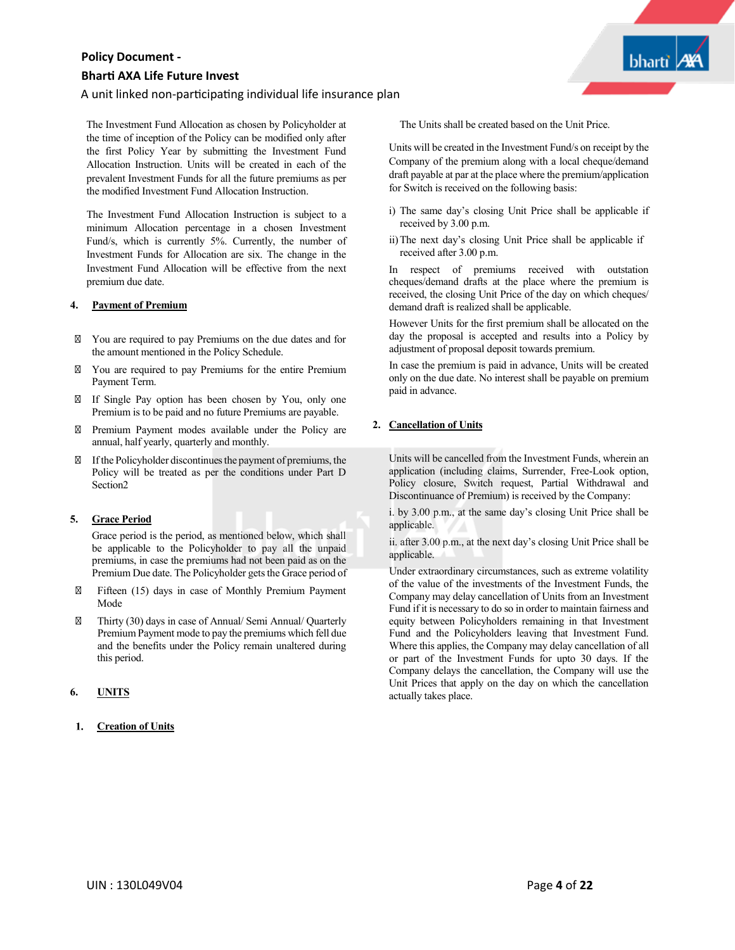# A unit linked non-participating individual life insurance plan

The Investment Fund Allocation as chosen by Policyholder at the time of inception of the Policy can be modified only after the first Policy Year by submitting the Investment Fund Allocation Instruction. Units will be created in each of the prevalent Investment Funds for all the future premiums as per the modified Investment Fund Allocation Instruction.

The Investment Fund Allocation Instruction is subject to a minimum Allocation percentage in a chosen Investment Fund/s, which is currently 5%. Currently, the number of Investment Funds for Allocation are six. The change in the Investment Fund Allocation will be effective from the next premium due date.

#### **4. Payment of Premium**

You are required to pay Premiums on the due dates and for the amount mentioned in the Policy Schedule.

You are required to pay Premiums for the entire Premium Payment Term.

If Single Pay option has been chosen by You, only one Premium is to be paid and no future Premiums are payable.

Premium Payment modes available under the Policy are annual, half yearly, quarterly and monthly.

Ifthe Policyholder discontinuesthe payment of premiums, the Policy will be treated as per the conditions under Part D Section2

# **5. Grace Period**

Grace period is the period, as mentioned below, which shall be applicable to the Policyholder to pay all the unpaid premiums, in case the premiums had not been paid as on the Premium Due date. The Policyholder gets the Grace period of

Fifteen (15) days in case of Monthly Premium Payment Mode

Thirty (30) days in case of Annual/ Semi Annual/ Quarterly Premium Payment mode to pay the premiums which fell due and the benefits under the Policy remain unaltered during this period.

# **6. UNITS**

#### **Creation of Units**

The Units shall be created based on the Unit Price.

Units will be created in the Investment Fund/s on receipt by the Company of the premium along with a local cheque/demand draft payable at par at the place where the premium/application for Switch is received on the following basis:

**bharti** 

- i) The same day's closing Unit Price shall be applicable if received by 3.00 p.m.
- ii)The next day's closing Unit Price shall be applicable if received after 3.00 p.m.

In respect of premiums received with outstation cheques/demand drafts at the place where the premium is received, the closing Unit Price of the day on which cheques/ demand draft is realized shall be applicable.

However Units for the first premium shall be allocated on the day the proposal is accepted and results into a Policy by adjustment of proposal deposit towards premium.

In case the premium is paid in advance, Units will be created only on the due date. No interest shall be payable on premium paid in advance.

# **2. Cancellation of Units**

Units will be cancelled from the Investment Funds, wherein an application (including claims, Surrender, Free-Look option, Policy closure, Switch request, Partial Withdrawal and Discontinuance of Premium) is received by the Company:

i. by 3.00 p.m., at the same day's closing Unit Price shall be applicable.

ii. after 3.00 p.m., at the next day's closing Unit Price shall be applicable.

Under extraordinary circumstances, such as extreme volatility of the value of the investments of the Investment Funds, the Company may delay cancellation of Units from an Investment Fund if it is necessary to do so in order to maintain fairness and equity between Policyholders remaining in that Investment Fund and the Policyholders leaving that Investment Fund. Where this applies, the Company may delay cancellation of all or part of the Investment Funds for upto 30 days. If the Company delays the cancellation, the Company will use the Unit Prices that apply on the day on which the cancellation actually takes place.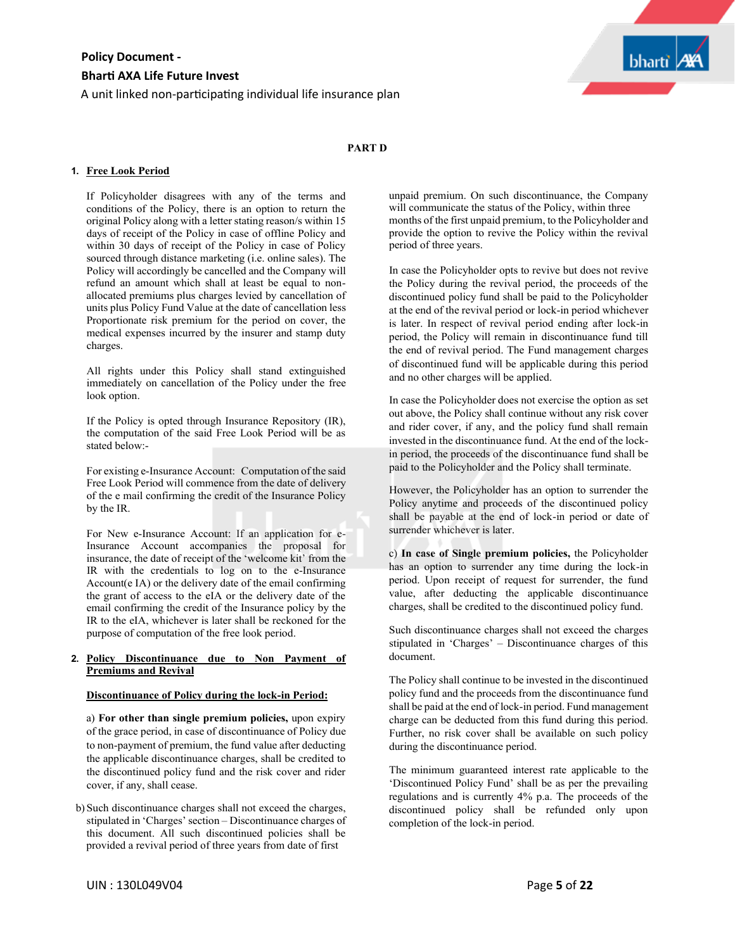A unit linked non-participating individual life insurance plan



# **PART D**

#### **1. Free Look Period**

If Policyholder disagrees with any of the terms and conditions of the Policy, there is an option to return the original Policy along with a letter stating reason/s within 15 days of receipt of the Policy in case of offline Policy and within 30 days of receipt of the Policy in case of Policy sourced through distance marketing (i.e. online sales). The Policy will accordingly be cancelled and the Company will refund an amount which shall at least be equal to nonallocated premiums plus charges levied by cancellation of units plus Policy Fund Value at the date of cancellation less Proportionate risk premium for the period on cover, the medical expenses incurred by the insurer and stamp duty charges.

All rights under this Policy shall stand extinguished immediately on cancellation of the Policy under the free look option.

If the Policy is opted through Insurance Repository (IR), the computation of the said Free Look Period will be as stated below:-

For existing e-Insurance Account: Computation of the said Free Look Period will commence from the date of delivery of the e mail confirming the credit of the Insurance Policy by the IR.

For New e-Insurance Account: If an application for e-Insurance Account accompanies the proposal for insurance, the date of receipt of the 'welcome kit' from the IR with the credentials to log on to the e-Insurance Account(e IA) or the delivery date of the email confirming the grant of access to the eIA or the delivery date of the email confirming the credit of the Insurance policy by the IR to the eIA, whichever is later shall be reckoned for the purpose of computation of the free look period.

#### **2. Policy Discontinuance due to Non Payment of Premiums and Revival**

#### **Discontinuance of Policy during the lock-in Period:**

a) **For other than single premium policies,** upon expiry of the grace period, in case of discontinuance of Policy due to non-payment of premium, the fund value after deducting the applicable discontinuance charges, shall be credited to the discontinued policy fund and the risk cover and rider cover, if any, shall cease.

b) Such discontinuance charges shall not exceed the charges, stipulated in 'Charges' section – Discontinuance charges of this document. All such discontinued policies shall be provided a revival period of three years from date of first

unpaid premium. On such discontinuance, the Company will communicate the status of the Policy, within three months of the first unpaid premium, to the Policyholder and provide the option to revive the Policy within the revival period of three years.

In case the Policyholder opts to revive but does not revive the Policy during the revival period, the proceeds of the discontinued policy fund shall be paid to the Policyholder at the end of the revival period or lock-in period whichever is later. In respect of revival period ending after lock-in period, the Policy will remain in discontinuance fund till the end of revival period. The Fund management charges of discontinued fund will be applicable during this period and no other charges will be applied.

In case the Policyholder does not exercise the option as set out above, the Policy shall continue without any risk cover and rider cover, if any, and the policy fund shall remain invested in the discontinuance fund. At the end of the lockin period, the proceeds of the discontinuance fund shall be paid to the Policyholder and the Policy shall terminate.

However, the Policyholder has an option to surrender the Policy anytime and proceeds of the discontinued policy shall be payable at the end of lock-in period or date of surrender whichever is later.

c) **In case of Single premium policies,** the Policyholder has an option to surrender any time during the lock-in period. Upon receipt of request for surrender, the fund value, after deducting the applicable discontinuance charges, shall be credited to the discontinued policy fund.

Such discontinuance charges shall not exceed the charges stipulated in 'Charges' – Discontinuance charges of this document.

The Policy shall continue to be invested in the discontinued policy fund and the proceeds from the discontinuance fund shall be paid at the end of lock-in period. Fund management charge can be deducted from this fund during this period. Further, no risk cover shall be available on such policy during the discontinuance period.

The minimum guaranteed interest rate applicable to the 'Discontinued Policy Fund' shall be as per the prevailing regulations and is currently 4% p.a. The proceeds of the discontinued policy shall be refunded only upon completion of the lock-in period.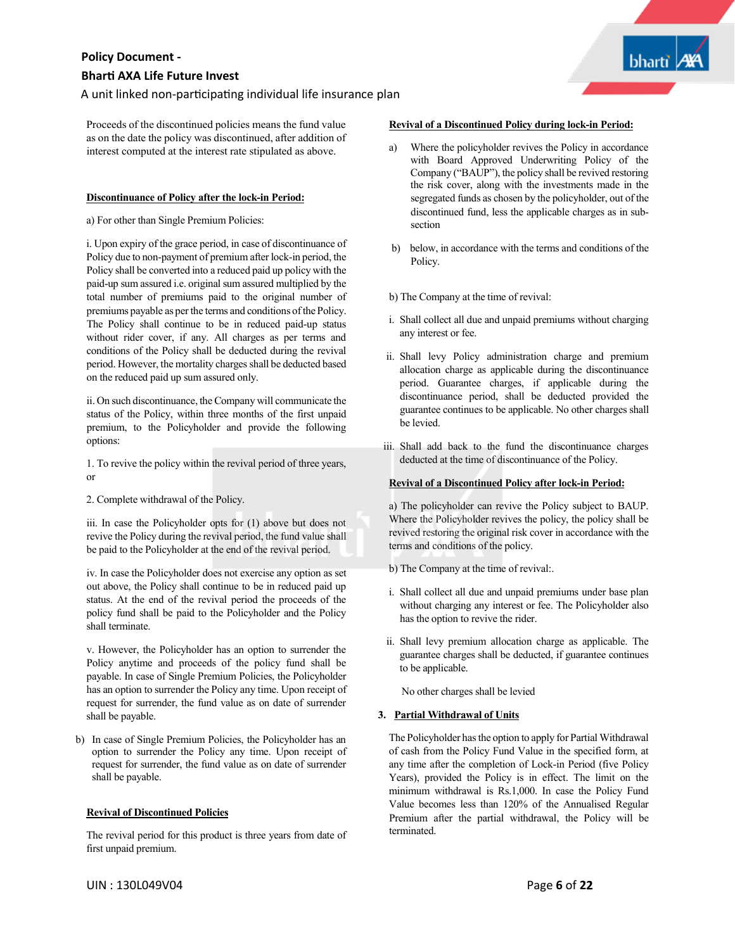A unit linked non-participating individual life insurance plan

Proceeds of the discontinued policies means the fund value as on the date the policy was discontinued, after addition of interest computed at the interest rate stipulated as above.

### **Discontinuance of Policy after the lock-in Period:**

a) For other than Single Premium Policies:

i. Upon expiry of the grace period, in case of discontinuance of Policy due to non-payment of premium after lock-in period, the Policy shall be converted into a reduced paid up policy with the paid-up sum assured i.e. original sum assured multiplied by the total number of premiums paid to the original number of premiums payable as per the terms and conditions of the Policy. The Policy shall continue to be in reduced paid-up status without rider cover, if any. All charges as per terms and conditions of the Policy shall be deducted during the revival period. However, the mortality charges shall be deducted based on the reduced paid up sum assured only.

ii. On such discontinuance, the Company will communicate the status of the Policy, within three months of the first unpaid premium, to the Policyholder and provide the following options:

1. To revive the policy within the revival period of three years, or

2. Complete withdrawal of the Policy.

iii. In case the Policyholder opts for (1) above but does not revive the Policy during the revival period, the fund value shall be paid to the Policyholder at the end of the revival period.

iv. In case the Policyholder does not exercise any option as set out above, the Policy shall continue to be in reduced paid up status. At the end of the revival period the proceeds of the policy fund shall be paid to the Policyholder and the Policy shall terminate.

v. However, the Policyholder has an option to surrender the Policy anytime and proceeds of the policy fund shall be payable. In case of Single Premium Policies, the Policyholder has an option to surrender the Policy any time. Upon receipt of request for surrender, the fund value as on date of surrender shall be payable.

b) In case of Single Premium Policies, the Policyholder has an option to surrender the Policy any time. Upon receipt of request for surrender, the fund value as on date of surrender shall be payable.

#### **Revival of Discontinued Policies**

The revival period for this product is three years from date of first unpaid premium.

### **Revival of a Discontinued Policy during lock-in Period:**

- a) Where the policyholder revives the Policy in accordance with Board Approved Underwriting Policy of the Company ("BAUP"), the policy shall be revived restoring the risk cover, along with the investments made in the segregated funds as chosen by the policyholder, out of the discontinued fund, less the applicable charges as in subsection
- b) below, in accordance with the terms and conditions of the Policy.

b) The Company at the time of revival:

- i. Shall collect all due and unpaid premiums without charging any interest or fee.
- ii. Shall levy Policy administration charge and premium allocation charge as applicable during the discontinuance period. Guarantee charges, if applicable during the discontinuance period, shall be deducted provided the guarantee continues to be applicable. No other charges shall be levied.
- iii. Shall add back to the fund the discontinuance charges deducted at the time of discontinuance of the Policy.

#### **Revival of a Discontinued Policy after lock-in Period:**

a) The policyholder can revive the Policy subject to BAUP. Where the Policyholder revives the policy, the policy shall be revived restoring the original risk cover in accordance with the terms and conditions of the policy.

b) The Company at the time of revival:.

- i. Shall collect all due and unpaid premiums under base plan without charging any interest or fee. The Policyholder also has the option to revive the rider.
- ii. Shall levy premium allocation charge as applicable. The guarantee charges shall be deducted, if guarantee continues to be applicable.

No other charges shall be levied

#### **. Partial Withdrawal of Units**

The Policyholder has the option to apply for Partial Withdrawal of cash from the Policy Fund Value in the specified form, at any time after the completion of Lock-in Period (five Policy Years), provided the Policy is in effect. The limit on the minimum withdrawal is Rs.1,000. In case the Policy Fund Value becomes less than 120% of the Annualised Regular Premium after the partial withdrawal, the Policy will be terminated.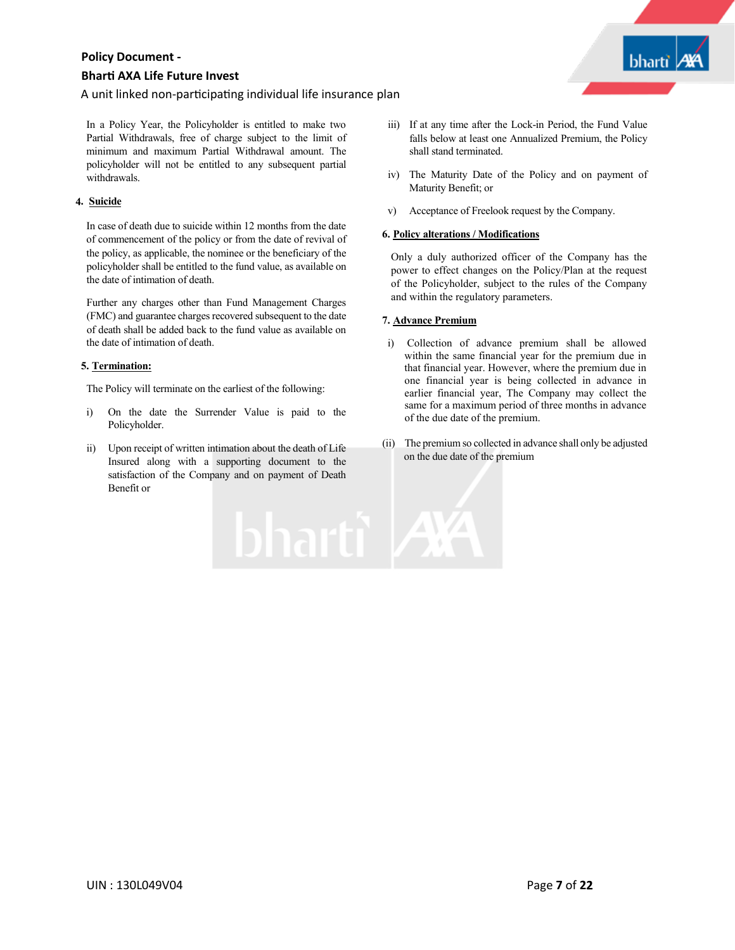# **Bhar� AXA Life Future Invest**

A unit linked non-participating individual life insurance plan

In a Policy Year, the Policyholder is entitled to make two Partial Withdrawals, free of charge subject to the limit of minimum and maximum Partial Withdrawal amount. The policyholder will not be entitled to any subsequent partial withdrawals.

# **. Suicide**

In case of death due to suicide within 12 months from the date of commencement of the policy or from the date of revival of the policy, as applicable, the nominee or the beneficiary of the policyholder shall be entitled to the fund value, as available on the date of intimation of death.

Further any charges other than Fund Management Charges (FMC) and guarantee charges recovered subsequent to the date of death shall be added back to the fund value as available on the date of intimation of death.

# **5. Termination:**

The Policy will terminate on the earliest of the following:

- i) On the date the Surrender Value is paid to the Policyholder.
- ii) Upon receipt of written intimation about the death of Life Insured along with a supporting document to the satisfaction of the Company and on payment of Death Benefit or

iii) If at any time after the Lock-in Period, the Fund Value falls below at least one Annualized Premium, the Policy shall stand terminated.

bharti

- iv) The Maturity Date of the Policy and on payment of Maturity Benefit; or
- v) Acceptance of Freelook request by the Company.

#### **6. Policy alterations / Modifications**

Only a duly authorized officer of the Company has the power to effect changes on the Policy/Plan at the request of the Policyholder, subject to the rules of the Company and within the regulatory parameters.

#### **7. Advance Premium**

**bharti AX** 

- i) Collection of advance premium shall be allowed within the same financial year for the premium due in that financial year. However, where the premium due in one financial year is being collected in advance in earlier financial year, The Company may collect the same for a maximum period of three months in advance of the due date of the premium.
- (ii) The premium so collected in advance shall only be adjusted on the due date of the premium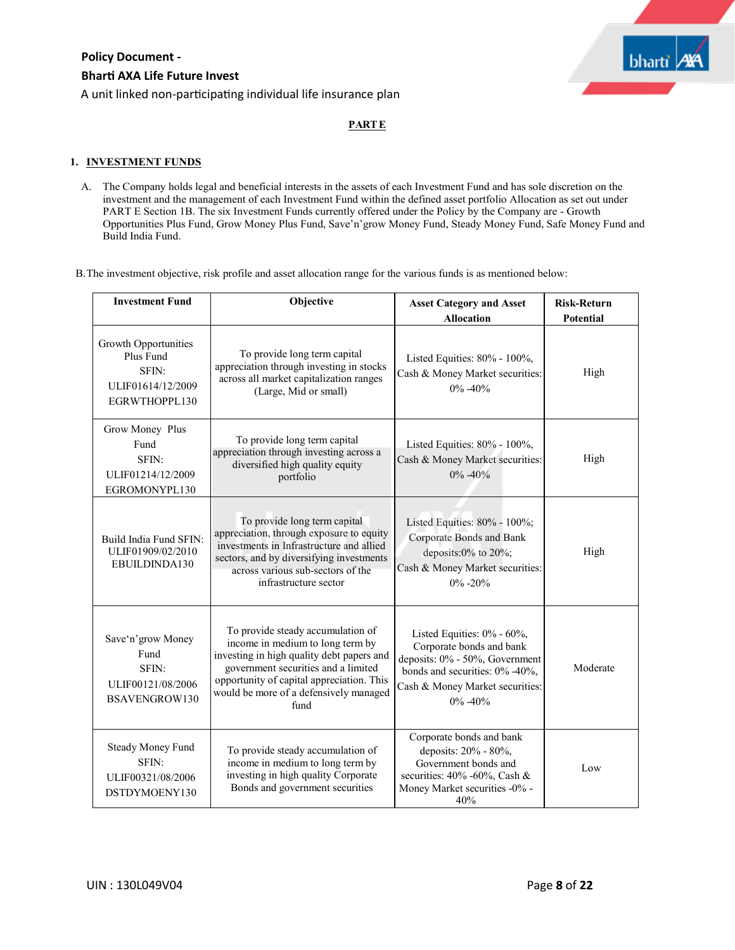

A unit linked non-participating individual life insurance plan

# **PARTE**

# **1. INVESTMENT FUNDS**

A. The Company holds legal and beneficial interests in the assets of each Investment Fund and has sole discretion on the investment and the management of each Investment Fund within the defined asset portfolio Allocation as set out under PART E Section 1B. The six Investment Funds currently offered under the Policy by the Company are - Growth Opportunities Plus Fund, Grow Money Plus Fund, Save'n'grow Money Fund, Steady Money Fund, Safe Money Fund and Build India Fund.

B.The investment objective, risk profile and asset allocation range for the various funds is as mentioned below:

| <b>Investment Fund</b>                                                           | Objective                                                                                                                                                                                                                                                | <b>Asset Category and Asset</b><br><b>Allocation</b>                                                                                                                          | <b>Risk-Return</b><br><b>Potential</b> |
|----------------------------------------------------------------------------------|----------------------------------------------------------------------------------------------------------------------------------------------------------------------------------------------------------------------------------------------------------|-------------------------------------------------------------------------------------------------------------------------------------------------------------------------------|----------------------------------------|
| Growth Opportunities<br>Plus Fund<br>SFIN:<br>ULIF01614/12/2009<br>EGRWTHOPPL130 | To provide long term capital<br>appreciation through investing in stocks<br>across all market capitalization ranges<br>(Large, Mid or small)                                                                                                             | Listed Equities: 80% - 100%,<br>Cash & Money Market securities:<br>$0\% - 40\%$                                                                                               | High                                   |
| Grow Money Plus<br>Fund<br>SFIN:<br>ULIF01214/12/2009<br>EGROMONYPL130           | To provide long term capital<br>appreciation through investing across a<br>diversified high quality equity<br>portfolio                                                                                                                                  | Listed Equities: 80% - 100%,<br>Cash & Money Market securities:<br>$0\% - 40\%$                                                                                               | High                                   |
| Build India Fund SFIN:<br>ULIF01909/02/2010<br>EBUILDINDA130                     | To provide long term capital<br>appreciation, through exposure to equity<br>investments in Infrastructure and allied<br>sectors, and by diversifying investments<br>across various sub-sectors of the<br>infrastructure sector                           | Listed Equities: 80% - 100%;<br>Corporate Bonds and Bank<br>deposits:0% to 20%;<br>Cash & Money Market securities:<br>$0\% - 20\%$                                            | High                                   |
| Save'n' grow Money<br>Fund<br>SFIN:<br>ULIF00121/08/2006<br>BSAVENGROW130        | To provide steady accumulation of<br>income in medium to long term by<br>investing in high quality debt papers and<br>government securities and a limited<br>opportunity of capital appreciation. This<br>would be more of a defensively managed<br>fund | Listed Equities: 0% - 60%,<br>Corporate bonds and bank<br>deposits: 0% - 50%, Government<br>bonds and securities: 0% -40%,<br>Cash & Money Market securities:<br>$0\% - 40\%$ | Moderate                               |
| <b>Steady Money Fund</b><br>SFIN:<br>ULIF00321/08/2006<br>DSTDYMOENY130          | To provide steady accumulation of<br>income in medium to long term by<br>investing in high quality Corporate<br>Bonds and government securities                                                                                                          | Corporate bonds and bank<br>deposits: 20% - 80%,<br>Government bonds and<br>securities: 40% -60%, Cash &<br>Money Market securities -0% -<br>40%                              | Low                                    |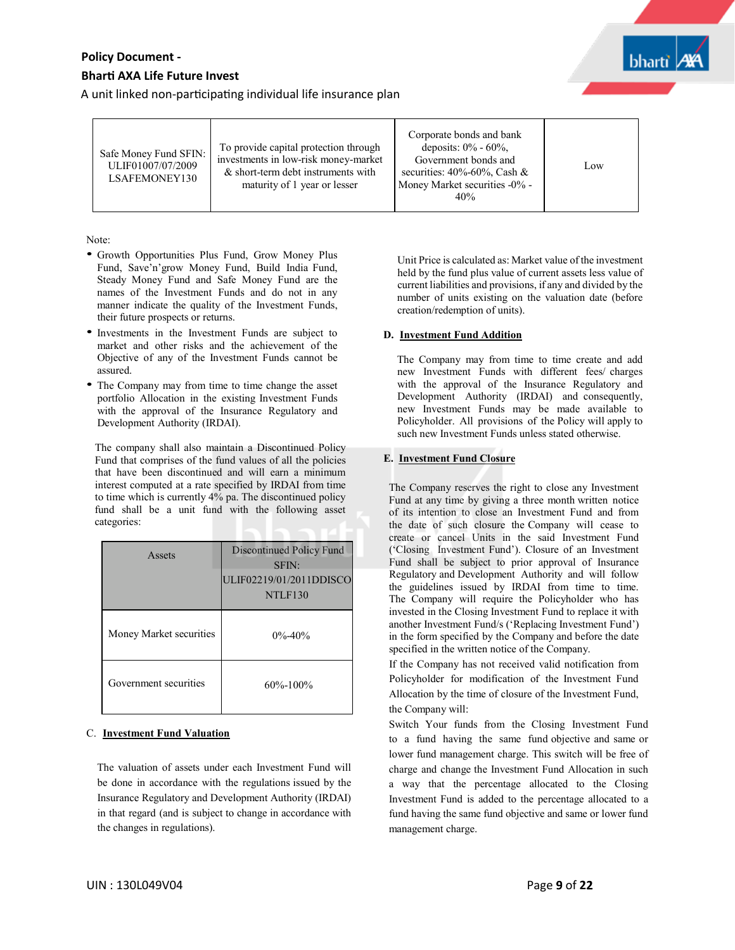A unit linked non-participating individual life insurance plan

| Safe Money Fund SFIN:<br>ULIF01007/07/2009<br>LSAFEMONEY130 | To provide capital protection through<br>investments in low-risk money-market<br>& short-term debt instruments with<br>maturity of 1 year or lesser | Corporate bonds and bank<br>deposits: $0\%$ - 60%,<br>Government bonds and<br>securities: $40\% - 60\%$ , Cash &<br>Money Market securities -0% -<br>40% | Low |
|-------------------------------------------------------------|-----------------------------------------------------------------------------------------------------------------------------------------------------|----------------------------------------------------------------------------------------------------------------------------------------------------------|-----|
|-------------------------------------------------------------|-----------------------------------------------------------------------------------------------------------------------------------------------------|----------------------------------------------------------------------------------------------------------------------------------------------------------|-----|

Note:

- Growth Opportunities Plus Fund, Grow Money Plus Fund, Save'n'grow Money Fund, Build India Fund, Steady Money Fund and Safe Money Fund are the names of the Investment Funds and do not in any manner indicate the quality of the Investment Funds, their future prospects or returns.
- Investments in the Investment Funds are subject to market and other risks and the achievement of the Objective of any of the Investment Funds cannot be assured.
- The Company may from time to time change the asset portfolio Allocation in the existing Investment Funds with the approval of the Insurance Regulatory and Development Authority (IRDAI).

The company shall also maintain a Discontinued Policy Fund that comprises of the fund values of all the policies that have been discontinued and will earn a minimum interest computed at a rate specified by IRDAI from time to time which is currently 4% pa. The discontinued policy fund shall be a unit fund with the following asset categories:

| Assets                  | Discontinued Policy Fund<br>SFIN:<br>ULIF02219/01/2011DDISCO<br>NTLF130 |
|-------------------------|-------------------------------------------------------------------------|
| Money Market securities | $0\% - 40\%$                                                            |
| Government securities   | $60\% - 100\%$                                                          |

#### C. **Investment Fund Valuation**

The valuation of assets under each Investment Fund will be done in accordance with the regulations issued by the Insurance Regulatory and Development Authority (IRDAI) in that regard (and is subject to change in accordance with the changes in regulations).

Unit Price is calculated as: Market value of the investment held by the fund plus value of current assets less value of current liabilities and provisions, if any and divided by the number of units existing on the valuation date (before creation/redemption of units).

#### **D. Investment Fund Addition**

The Company may from time to time create and add new Investment Funds with different fees/ charges with the approval of the Insurance Regulatory and Development Authority (IRDAI) and consequently, new Investment Funds may be made available to Policyholder. All provisions of the Policy will apply to such new Investment Funds unless stated otherwise.

# **E. Investment Fund Closure**

The Company reserves the right to close any Investment Fund at any time by giving a three month written notice of its intention to close an Investment Fund and from the date of such closure the Company will cease to create or cancel Units in the said Investment Fund ('Closing Investment Fund'). Closure of an Investment Fund shall be subject to prior approval of Insurance Regulatory and Development Authority and will follow the guidelines issued by IRDAI from time to time. The Company will require the Policyholder who has invested in the Closing Investment Fund to replace it with another Investment Fund/s ('Replacing Investment Fund') in the form specified by the Company and before the date specified in the written notice of the Company.

If the Company has not received valid notification from Policyholder for modification of the Investment Fund Allocation by the time of closure of the Investment Fund, the Company will:

Switch Your funds from the Closing Investment Fund to a fund having the same fund objective and same or lower fund management charge. This switch will be free of charge and change the Investment Fund Allocation in such a way that the percentage allocated to the Closing Investment Fund is added to the percentage allocated to a fund having the same fund objective and same or lower fund management charge.

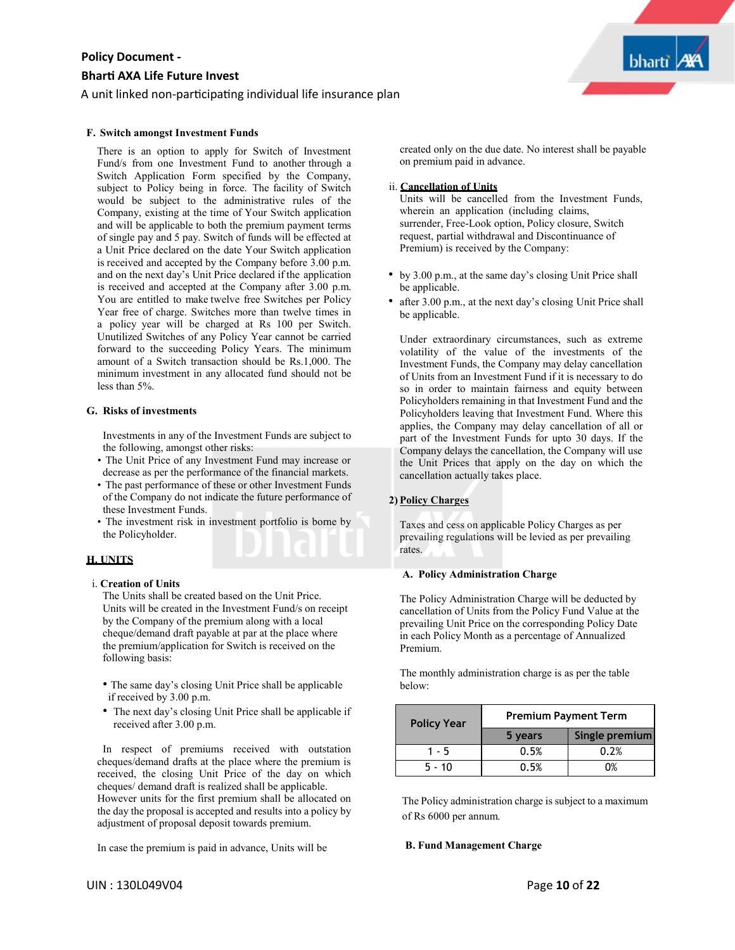## A unit linked non-participating individual life insurance plan

#### **F. Switch amongst Investment Funds**

There is an option to apply for Switch of Investment Fund/s from one Investment Fund to another through a Switch Application Form specified by the Company, subject to Policy being in force. The facility of Switch would be subject to the administrative rules of the Company, existing at the time of Your Switch application and will be applicable to both the premium payment terms of single pay and 5 pay. Switch of funds will be effected at a Unit Price declared on the date Your Switch application is received and accepted by the Company before 3.00 p.m. and on the next day's Unit Price declared if the application is received and accepted at the Company after 3.00 p.m. You are entitled to make twelve free Switches per Policy Year free of charge. Switches more than twelve times in a policy year will be charged at Rs 100 per Switch. Unutilized Switches of any Policy Year cannot be carried forward to the succeeding Policy Years. The minimum amount of a Switch transaction should be Rs.1,000. The minimum investment in any allocated fund should not be less than 5%.

#### **G. Risks of investments**

Investments in any of the Investment Funds are subject to the following, amongst other risks:

- The Unit Price of any Investment Fund may increase or decrease as per the performance of the financial markets.
- The past performance of these or other Investment Funds of the Company do not indicate the future performance of these Investment Funds.
- The investment risk in investment portfolio is borne by the Policyholder.

#### **H. UNITS**

## i. **Creation of Units**

The Units shall be created based on the Unit Price. Units will be created in the Investment Fund/s on receipt by the Company of the premium along with a local cheque/demand draft payable at par at the place where the premium/application for Switch is received on the following basis:

- The same day's closing Unit Price shall be applicable if received by 3.00 p.m.
- The next day's closing Unit Price shall be applicable if received after 3.00 p.m.

In respect of premiums received with outstation cheques/demand drafts at the place where the premium is received, the closing Unit Price of the day on which cheques/ demand draft is realized shall be applicable. However units for the first premium shall be allocated on the day the proposal is accepted and results into a policy by adjustment of proposal deposit towards premium.

In case the premium is paid in advance, Units will be

created only on the due date. No interest shall be payable on premium paid in advance.

#### ii. **Cancellation of Units**

Units will be cancelled from the Investment Funds, wherein an application (including claims, surrender, Free-Look option, Policy closure, Switch request, partial withdrawal and Discontinuance of Premium) is received by the Company:

- by 3.00 p.m., at the same day's closing Unit Price shall be applicable.
- after 3.00 p.m., at the next day's closing Unit Price shall be applicable.

Under extraordinary circumstances, such as extreme volatility of the value of the investments of the Investment Funds, the Company may delay cancellation of Units from an Investment Fund if it is necessary to do so in order to maintain fairness and equity between Policyholders remaining in that Investment Fund and the Policyholders leaving that Investment Fund. Where this applies, the Company may delay cancellation of all or part of the Investment Funds for upto 30 days. If the Company delays the cancellation, the Company will use the Unit Prices that apply on the day on which the cancellation actually takes place.

# **2) Policy Charges**

Taxes and cess on applicable Policy Charges as per prevailing regulations will be levied as per prevailing rates.

#### **A. Policy Administration Charge**

The Policy Administration Charge will be deducted by cancellation of Units from the Policy Fund Value at the prevailing Unit Price on the corresponding Policy Date in each Policy Month as a percentage of Annualized Premium.

The monthly administration charge is as per the table below:

| <b>Policy Year</b> | <b>Premium Payment Term</b> |                |
|--------------------|-----------------------------|----------------|
|                    | 5 years                     | Single premium |
| 1 - 5              | 0.5%                        | 0.2%           |
| $5 - 10$           | 0.5%                        | ገ%             |
|                    |                             |                |

The Policy administration charge is subject to a maximum of Rs 6000 per annum.

#### **B. Fund Management Charge**

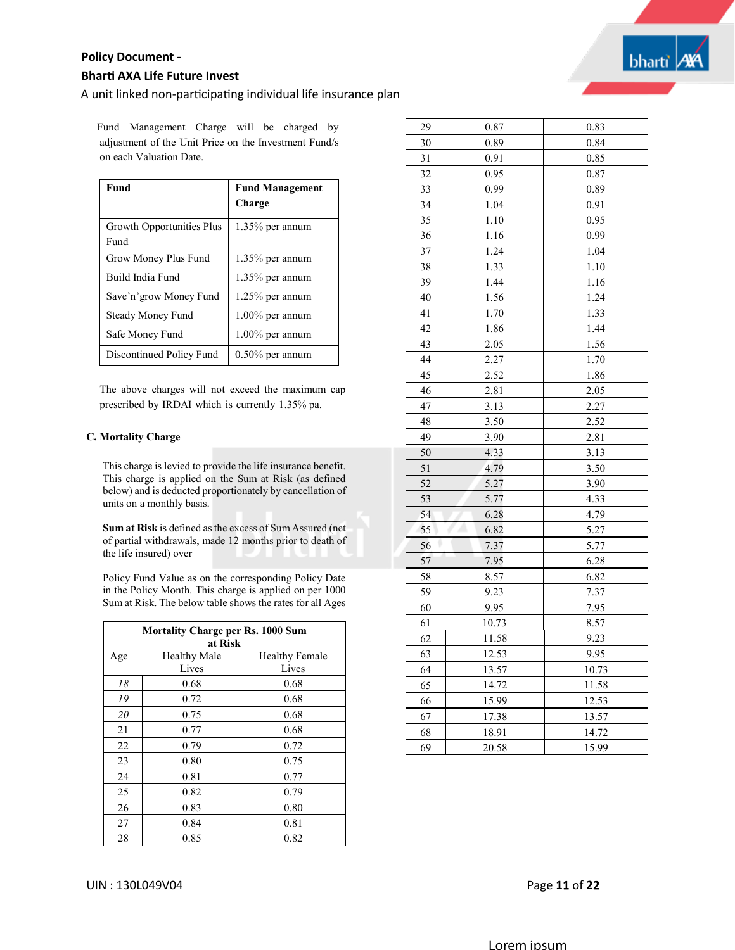

A unit linked non-participating individual life insurance plan

Fund Management Charge will be charged by adjustment of the Unit Price on the Investment Fund/s on each Valuation Date.

| Fund                                     | <b>Fund Management</b><br>Charge |
|------------------------------------------|----------------------------------|
| <b>Growth Opportunities Plus</b><br>Fund | 1.35% per annum                  |
| Grow Money Plus Fund                     | $1.35\%$ per annum               |
| Build India Fund                         | $1.35\%$ per annum               |
| Save'n' grow Money Fund                  | $1.25\%$ per annum               |
| Steady Money Fund                        | $1.00\%$ per annum               |
| Safe Money Fund                          | 1.00% per annum                  |
| Discontinued Policy Fund                 | $0.50\%$ per annum               |

The above charges will not exceed the maximum cap prescribed by IRDAI which is currently 1.35% pa.

#### **C. Mortality Charge**

This charge is levied to provide the life insurance benefit. This charge is applied on the Sum at Risk (as defined below) and is deducted proportionately by cancellation of units on a monthly basis.

**Sum at Risk** is defined asthe excess of Sum Assured (net of partial withdrawals, made 12 months prior to death of the life insured) over

Policy Fund Value as on the corresponding Policy Date in the Policy Month. This charge is applied on per 1000 Sum at Risk. The below table shows the rates for all Ages

| <b>Mortality Charge per Rs. 1000 Sum</b><br>at Risk |                              |                                |
|-----------------------------------------------------|------------------------------|--------------------------------|
| Age                                                 | <b>Healthy Male</b><br>Lives | <b>Healthy Female</b><br>Lives |
| 18                                                  | 0.68                         | 0.68                           |
| 19                                                  | 0.72                         | 0.68                           |
| 20                                                  | 0.75                         | 0.68                           |
| 21                                                  | 0.77                         | 0.68                           |
| 22                                                  | 0.79                         | 0.72                           |
| 23                                                  | 0.80                         | 0.75                           |
| 24                                                  | 0.81                         | 0.77                           |
| 25                                                  | 0.82                         | 0.79                           |
| 26                                                  | 0.83                         | 0.80                           |
| 27                                                  | 0.84                         | 0.81                           |
| 28                                                  | 0.85                         | 0.82                           |

| 29 | 0.87  | 0.83  |
|----|-------|-------|
| 30 | 0.89  | 0.84  |
| 31 | 0.91  | 0.85  |
| 32 | 0.95  | 0.87  |
| 33 | 0.99  | 0.89  |
| 34 | 1.04  | 0.91  |
| 35 | 1.10  | 0.95  |
| 36 | 1.16  | 0.99  |
| 37 | 1.24  | 1.04  |
| 38 | 1.33  | 1.10  |
| 39 | 1.44  | 1.16  |
| 40 | 1.56  | 1.24  |
| 41 | 1.70  | 1.33  |
| 42 | 1.86  | 1.44  |
| 43 | 2.05  | 1.56  |
| 44 | 2.27  | 1.70  |
| 45 | 2.52  | 1.86  |
| 46 | 2.81  | 2.05  |
| 47 | 3.13  | 2.27  |
| 48 | 3.50  | 2.52  |
| 49 | 3.90  | 2.81  |
| 50 | 4.33  | 3.13  |
| 51 | 4.79  | 3.50  |
| 52 | 5.27  | 3.90  |
| 53 | 5.77  | 4.33  |
| 54 | 6.28  | 4.79  |
| 55 | 6.82  | 5.27  |
| 56 | 7.37  | 5.77  |
| 57 | 7.95  | 6.28  |
| 58 | 8.57  | 6.82  |
| 59 | 9.23  | 7.37  |
| 60 | 9.95  | 7.95  |
| 61 | 10.73 | 8.57  |
| 62 | 11.58 | 9.23  |
| 63 | 12.53 | 9.95  |
| 64 | 13.57 | 10.73 |
| 65 | 14.72 | 11.58 |
| 66 | 15.99 | 12.53 |
| 67 | 17.38 | 13.57 |
| 68 | 18.91 | 14.72 |
| 69 | 20.58 | 15.99 |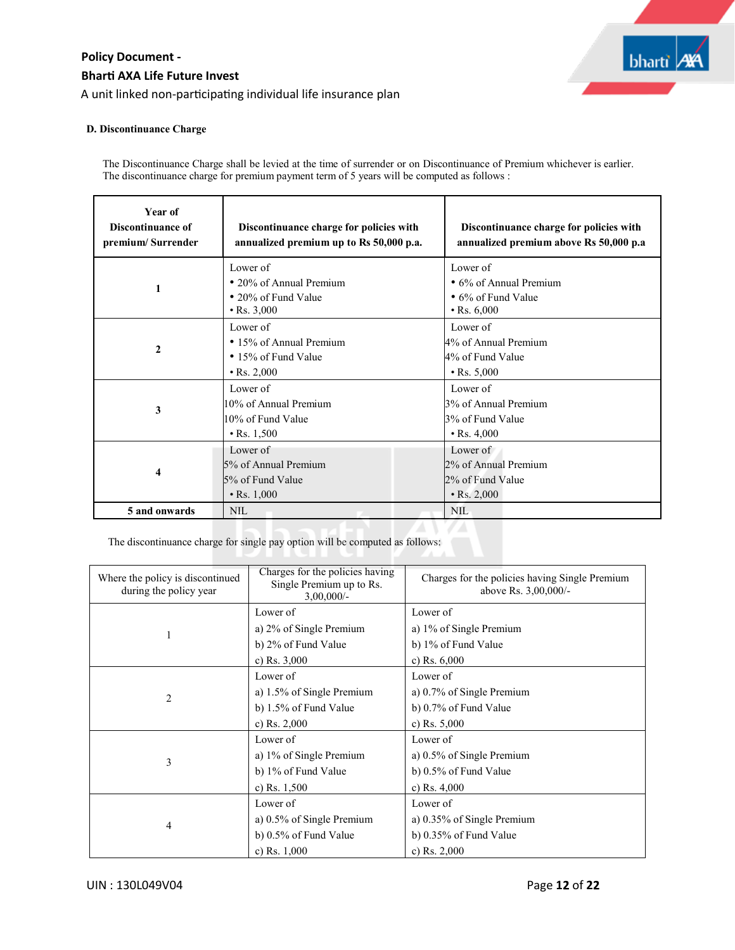

### **D. Discontinuance Charge**

The Discontinuance Charge shall be levied at the time of surrender or on Discontinuance of Premium whichever is earlier. The discontinuance charge for premium payment term of 5 years will be computed as follows :

| Year of<br>Discontinuance of<br>premium/Surrender | Discontinuance charge for policies with<br>annualized premium up to Rs 50,000 p.a. | Discontinuance charge for policies with<br>annualized premium above Rs 50,000 p.a |
|---------------------------------------------------|------------------------------------------------------------------------------------|-----------------------------------------------------------------------------------|
|                                                   | Lower of                                                                           | Lower of                                                                          |
| 1                                                 | • 20% of Annual Premium                                                            | • 6% of Annual Premium                                                            |
|                                                   | • 20% of Fund Value                                                                | $\bullet$ 6% of Fund Value                                                        |
|                                                   | $\cdot$ Rs. 3,000                                                                  | $\cdot$ Rs. 6,000                                                                 |
|                                                   | Lower of                                                                           | Lower of                                                                          |
|                                                   | • 15% of Annual Premium                                                            | 4% of Annual Premium                                                              |
| $\mathbf{2}$                                      | • 15% of Fund Value                                                                | 4% of Fund Value                                                                  |
|                                                   | $\cdot$ Rs. 2,000                                                                  | $\cdot$ Rs. 5,000                                                                 |
|                                                   | Lower of                                                                           | Lower of                                                                          |
|                                                   | 10% of Annual Premium                                                              | 3% of Annual Premium                                                              |
| 3                                                 | 10% of Fund Value                                                                  | 3% of Fund Value                                                                  |
|                                                   | $\cdot$ Rs. 1,500                                                                  | $\cdot$ Rs. 4,000                                                                 |
|                                                   | Lower of                                                                           | Lower of                                                                          |
|                                                   | 5% of Annual Premium                                                               | 2% of Annual Premium                                                              |
| 4                                                 | 5% of Fund Value                                                                   | 2% of Fund Value                                                                  |
|                                                   | $\cdot$ Rs. 1,000                                                                  | $\cdot$ Rs. 2,000                                                                 |
| 5 and onwards                                     | <b>NIL</b>                                                                         | <b>NIL</b>                                                                        |

The discontinuance charge for single pay option will be computed as follows:

| Where the policy is discontinued<br>during the policy year | Charges for the policies having<br>Single Premium up to Rs.<br>$3,00,000/$ - | Charges for the policies having Single Premium<br>above Rs. 3,00,000/- |
|------------------------------------------------------------|------------------------------------------------------------------------------|------------------------------------------------------------------------|
|                                                            | Lower of                                                                     | Lower of                                                               |
| 1                                                          | a) 2% of Single Premium                                                      | a) 1% of Single Premium                                                |
|                                                            | b) 2% of Fund Value                                                          | b) 1% of Fund Value                                                    |
|                                                            | c) Rs. $3,000$                                                               | c) Rs. $6,000$                                                         |
|                                                            | Lower of                                                                     | Lower of                                                               |
| 2                                                          | a) 1.5% of Single Premium                                                    | a) 0.7% of Single Premium                                              |
|                                                            | b) 1.5% of Fund Value                                                        | b) 0.7% of Fund Value                                                  |
|                                                            | c) Rs. $2,000$                                                               | c) Rs. $5,000$                                                         |
|                                                            | Lower of                                                                     | Lower of                                                               |
| 3                                                          | a) 1% of Single Premium                                                      | a) 0.5% of Single Premium                                              |
|                                                            | b) 1% of Fund Value                                                          | b) 0.5% of Fund Value                                                  |
|                                                            | c) Rs. $1,500$                                                               | c) Rs. $4,000$                                                         |
|                                                            | Lower of                                                                     | Lower of                                                               |
| 4                                                          | a) $0.5\%$ of Single Premium                                                 | a) 0.35% of Single Premium                                             |
|                                                            | b) 0.5% of Fund Value                                                        | b) 0.35% of Fund Value                                                 |
|                                                            | c) Rs. $1,000$                                                               | c) Rs. $2,000$                                                         |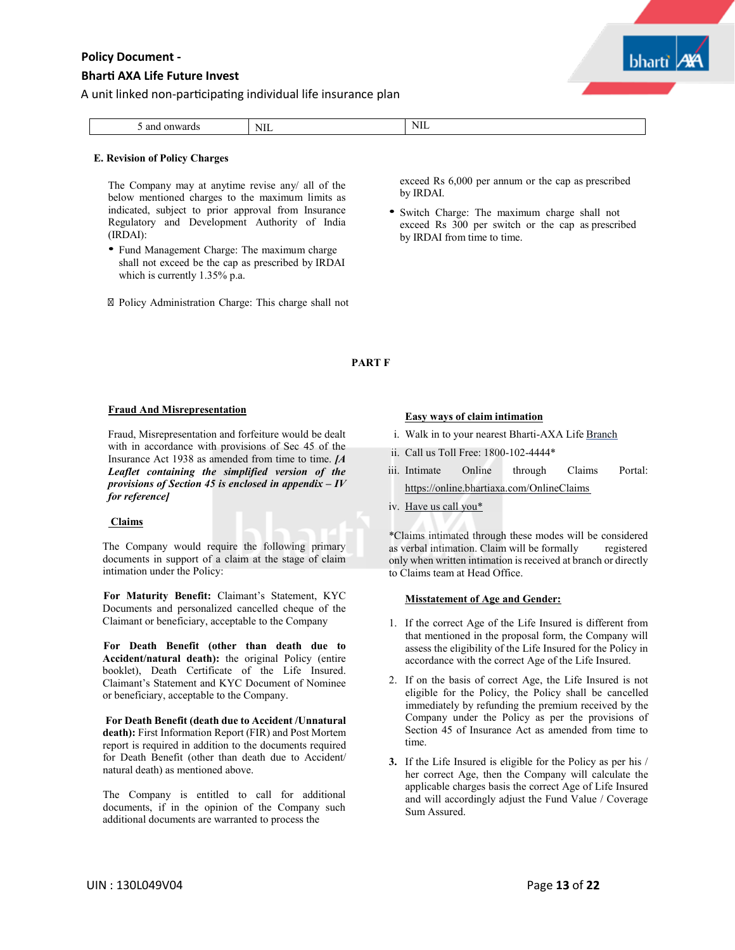# **Bhar� AXA Life Future Invest**

bharti

A unit linked non-participating individual life insurance plan

| and<br>onwards | NIL | NIL |
|----------------|-----|-----|

#### **E. Revision of Policy Charges**

The Company may at anytime revise any/ all of the below mentioned charges to the maximum limits as indicated, subject to prior approval from Insurance Regulatory and Development Authority of India (IRDAI):

• Fund Management Charge: The maximum charge shall not exceed be the cap as prescribed by IRDAI which is currently 1.35% p.a.

Policy Administration Charge: This charge shall not

exceed Rs 6,000 per annum or the cap as prescribed by IRDAI.

• Switch Charge: The maximum charge shall not exceed Rs 300 per switch or the cap as prescribed by IRDAI from time to time.

# **PART F**

#### **Fraud And Misrepresentation**

Fraud, Misrepresentation and forfeiture would be dealt with in accordance with provisions of Sec 45 of the Insurance Act 1938 as amended from time to time. *[A Leaflet containing the simplified version of the provisions of Section 45 is enclosed in appendix – IV for reference]*

#### **Claims**

The Company would require the following primary documents in support of a claim at the stage of claim intimation under the Policy:

**For Maturity Benefit:** Claimant's Statement, KYC Documents and personalized cancelled cheque of the Claimant or beneficiary, acceptable to the Company

**For Death Benefit (other than death due to Accident/natural death):** the original Policy (entire booklet), Death Certificate of the Life Insured. Claimant's Statement and KYC Document of Nominee or beneficiary, acceptable to the Company.

**For Death Benefit (death due to Accident /Unnatural death):** First Information Report (FIR) and Post Mortem report is required in addition to the documents required for Death Benefit (other than death due to Accident/ natural death) as mentioned above.

The Company is entitled to call for additional documents, if in the opinion of the Company such additional documents are warranted to process the

# **Easy ways of claim intimation**

- i. Walk in to your nearest Bharti-AXA Life Branch
- ii. Call us Toll Free: 1800-102-4444\*
- iii. Intimate Online through Claims Portal: https://online.bhartiaxa.com/OnlineClaims
- iv. Have us call you\*

\*Claims intimated through these modes will be considered as verbal intimation. Claim will be formally registered only when written intimation is received at branch or directly to Claims team at Head Office.

#### **Misstatement of Age and Gender:**

- 1. If the correct Age of the Life Insured is different from that mentioned in the proposal form, the Company will assess the eligibility of the Life Insured for the Policy in accordance with the correct Age of the Life Insured.
- 2. If on the basis of correct Age, the Life Insured is not eligible for the Policy, the Policy shall be cancelled immediately by refunding the premium received by the Company under the Policy as per the provisions of Section 45 of Insurance Act as amended from time to time.
- **3.** If the Life Insured is eligible for the Policy as per his / her correct Age, then the Company will calculate the applicable charges basis the correct Age of Life Insured and will accordingly adjust the Fund Value / Coverage Sum Assured.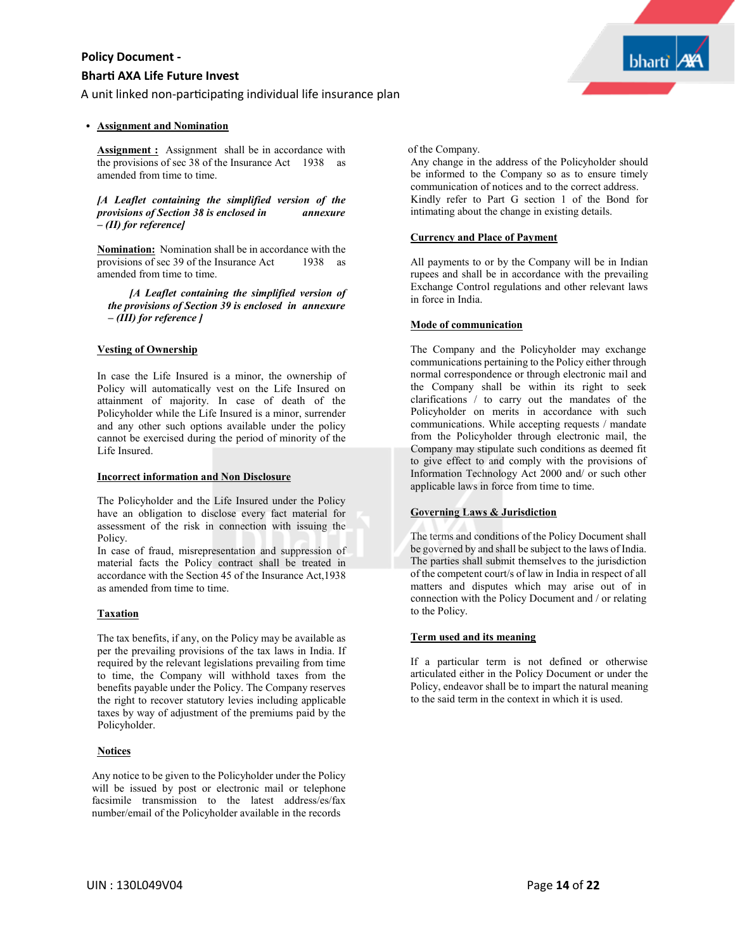# **Bhar� AXA Life Future Invest**

A unit linked non-participating individual life insurance plan

### **Assignment and Nomination**

**Assignment**: Assignment shall be in accordance with the provisions of sec 38 of the Insurance Act 1938 as amended from time to time.

*[A Leaflet containing the simplified version of the provisions of Section 38 is enclosed in annexure – (II) for reference]*

**Nomination:** Nomination shall be in accordance with the provisions of sec 39 of the Insurance Act 1938 as amended from time to time.

*[A Leaflet containing the simplified version of the provisions of Section 39 is enclosed in annexure – (III) for reference ]*

# **Vesting of Ownership**

In case the Life Insured is a minor, the ownership of Policy will automatically vest on the Life Insured on attainment of majority. In case of death of the Policyholder while the Life Insured is a minor, surrender and any other such options available under the policy cannot be exercised during the period of minority of the Life Insured.

#### **Incorrect information and Non Disclosure**

The Policyholder and the Life Insured under the Policy have an obligation to disclose every fact material for assessment of the risk in connection with issuing the Policy.

In case of fraud, misrepresentation and suppression of material facts the Policy contract shall be treated in accordance with the Section 45 of the Insurance Act,1938 as amended from time to time.

# **Taxation**

The tax benefits, if any, on the Policy may be available as per the prevailing provisions of the tax laws in India. If required by the relevant legislations prevailing from time to time, the Company will withhold taxes from the benefits payable under the Policy. The Company reserves the right to recover statutory levies including applicable taxes by way of adjustment of the premiums paid by the Policyholder.

# **Notices**

Any notice to be given to the Policyholder under the Policy will be issued by post or electronic mail or telephone facsimile transmission to the latest address/es/fax number/email of the Policyholder available in the records

of the Company.

Any change in the address of the Policyholder should be informed to the Company so as to ensure timely communication of notices and to the correct address. Kindly refer to Part G section 1 of the Bond for intimating about the change in existing details.

**bharti** 

### **Currency and Place of Payment**

All payments to or by the Company will be in Indian rupees and shall be in accordance with the prevailing Exchange Control regulations and other relevant laws in force in India.

# **Mode of communication**

The Company and the Policyholder may exchange communications pertaining to the Policy either through normal correspondence or through electronic mail and the Company shall be within its right to seek clarifications / to carry out the mandates of the Policyholder on merits in accordance with such communications. While accepting requests / mandate from the Policyholder through electronic mail, the Company may stipulate such conditions as deemed fit to give effect to and comply with the provisions of Information Technology Act 2000 and/ or such other applicable laws in force from time to time.

# **Governing Laws & Jurisdiction**

The terms and conditions of the Policy Document shall be governed by and shall be subject to the laws of India. The parties shall submit themselves to the jurisdiction of the competent court/s of law in India in respect of all matters and disputes which may arise out of in connection with the Policy Document and / or relating to the Policy.

#### **Term used and its meaning**

If a particular term is not defined or otherwise articulated either in the Policy Document or under the Policy, endeavor shall be to impart the natural meaning to the said term in the context in which it is used.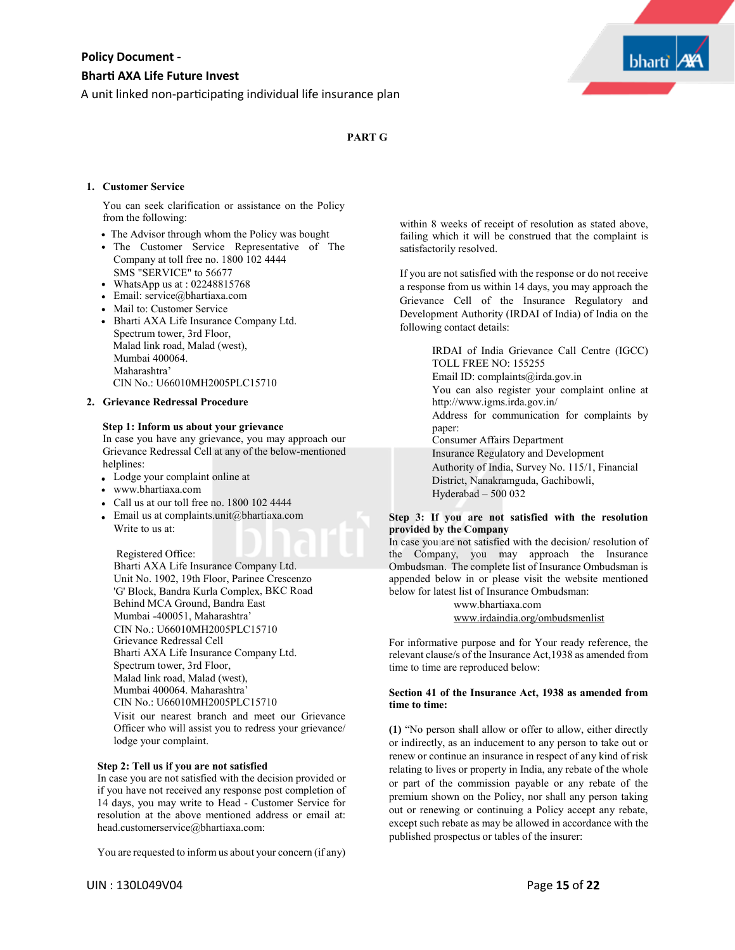A unit linked non-participating individual life insurance plan



# **PART G**

#### **1. Customer Service**

You can seek clarification or assistance on the Policy from the following:

- The Advisor through whom the Policy was bought
- The Customer Service Representative of The Company at toll free no. 1800 102 4444
- SMS "SERVICE" to 56677 WhatsApp us at : 02248815768
- Email: service@bhartiaxa.com
- Mail to: Customer Service
- Bharti AXA Life Insurance Company Ltd. Spectrum tower, 3rd Floor, Malad link road, Malad (west), Mumbai 400064. Maharashtra' CIN No.: U66010MH2005PLC15710

#### **2. Grievance Redressal Procedure**

#### **Step 1: Inform us about your grievance**

In case you have any grievance, you may approach our Grievance Redressal Cell at any of the below-mentioned helplines:

- Lodge your complaint online at
- www.bhartiaxa.com
- Call us at our toll free no. 1800 102 4444
- Email us at complaints.unit@bhartiaxa.com Write to us at:

#### Registered Office:

Bharti AXA Life Insurance Company Ltd. Unit No. 1902, 19th Floor, Parinee Crescenzo 'G' Block, Bandra Kurla Complex, BKC Road Behind MCA Ground, Bandra East Mumbai -400051, Maharashtra' Grievance Redressal Cell Bharti AXA Life Insurance Company Ltd. Spectrum tower, 3rd Floor, Malad link road, Malad (west), Mumbai 400064. Maharashtra' Visit our nearest branch and meet our Grievance Officer who will assist you to redress your grievance/ lodge your complaint. CIN No.: U66010MH2005PLC15710 CIN No.: U66010MH2005PLC15710

#### **Step 2: Tell us if you are not satisfied**

In case you are not satisfied with the decision provided or if you have not received any response post completion of 14 days, you may write to Head - Customer Service for resolution at the above mentioned address or email at: head.customerservice@bhartiaxa.com:

You are requested to inform us about your concern (if any)

within 8 weeks of receipt of resolution as stated above, failing which it will be construed that the complaint is satisfactorily resolved.

If you are not satisfied with the response or do not receive a response from us within 14 days, you may approach the Grievance Cell of the Insurance Regulatory and Development Authority (IRDAI of India) of India on the following contact details:

> IRDAI of India Grievance Call Centre (IGCC) TOLL FREE NO: 155255 Email ID: complaints@irda.gov.in You can also register your complaint online at http://www.igms.irda.gov.in/ Address for communication for complaints by paper: Consumer Affairs Department Insurance Regulatory and Development Authority of India, Survey No. 115/1, Financial District, Nanakramguda, Gachibowli,

# Hyderabad – 500 032

#### **Step 3: If you are not satisfied with the resolution provided by the Company**

In case you are not satisfied with the decision/ resolution of the Company, you may approach the Insurance Ombudsman. The complete list of Insurance Ombudsman is appended below in or please visit the website mentioned below for latest list of Insurance Ombudsman:

> www.bhartiaxa.com www.irdaindia.org/ombudsmenlist

For informative purpose and for Your ready reference, the relevant clause/s of the Insurance Act,1938 as amended from time to time are reproduced below:

#### **Section 41 of the Insurance Act, 1938 as amended from time to time:**

**(1)** "No person shall allow or offer to allow, either directly or indirectly, as an inducement to any person to take out or renew or continue an insurance in respect of any kind of risk relating to lives or property in India, any rebate of the whole or part of the commission payable or any rebate of the premium shown on the Policy, nor shall any person taking out or renewing or continuing a Policy accept any rebate, except such rebate as may be allowed in accordance with the published prospectus or tables of the insurer: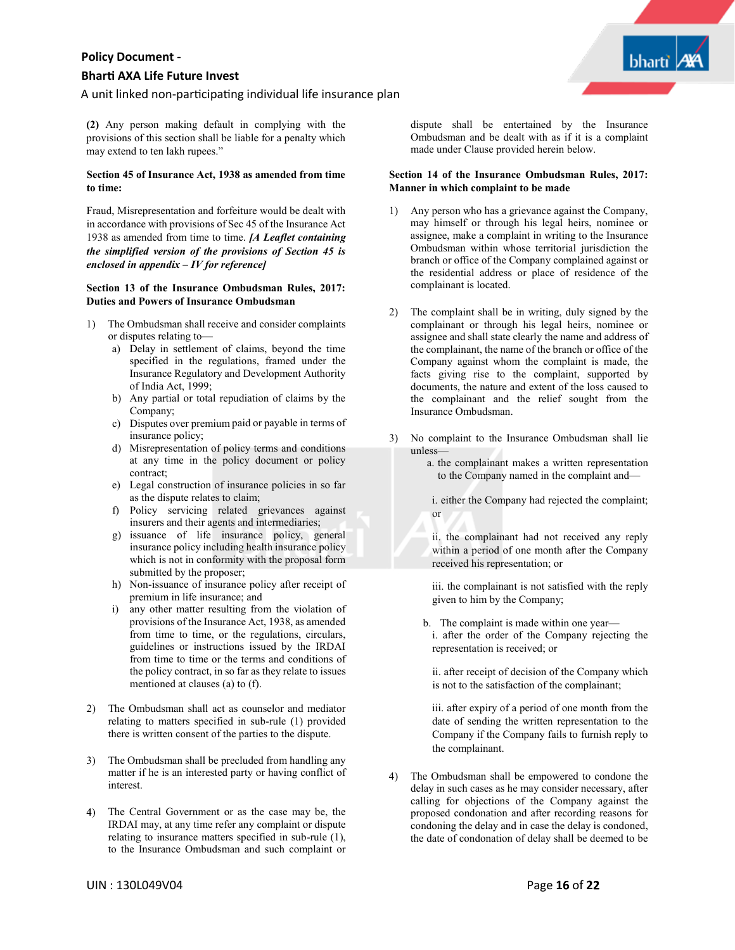# **Bhar� AXA Life Future Invest**

#### A unit linked non-participating individual life insurance plan

**(2)** Any person making default in complying with the provisions of this section shall be liable for a penalty which may extend to ten lakh rupees."

#### **Section 45 of Insurance Act, 1938 as amended from time to time:**

Fraud, Misrepresentation and forfeiture would be dealt with in accordance with provisions of Sec 45 of the Insurance Act 1938 as amended from time to time. *[A Leaflet containing the simplified version of the provisions of Section 45 is enclosed in appendix – IV for reference]*

#### **Section 13 of the Insurance Ombudsman Rules, 2017: Duties and Powers of Insurance Ombudsman**

- 1) The Ombudsman shall receive and consider complaints or disputes relating to
	- a) Delay in settlement of claims, beyond the time specified in the regulations, framed under the Insurance Regulatory and Development Authority of India Act, 1999;
	- b) Any partial or total repudiation of claims by the Company;
	- c) Disputes over premium paid or payable in terms of insurance policy;
	- d) Misrepresentation of policy terms and conditions at any time in the policy document or policy contract;
	- e) Legal construction of insurance policies in so far as the dispute relates to claim;
	- f) Policy servicing related grievances against insurers and their agents and intermediaries;
	- g) issuance of life insurance policy, general insurance policy including health insurance policy which is not in conformity with the proposal form submitted by the proposer;
	- h) Non-issuance of insurance policy after receipt of premium in life insurance; and
	- i) any other matter resulting from the violation of provisions of the Insurance Act, 1938, as amended from time to time, or the regulations, circulars, guidelines or instructions issued by the IRDAI from time to time or the terms and conditions of the policy contract, in so far as they relate to issues mentioned at clauses (a) to (f).
- 2) The Ombudsman shall act as counselor and mediator relating to matters specified in sub-rule (1) provided there is written consent of the parties to the dispute.
- 3) The Ombudsman shall be precluded from handling any matter if he is an interested party or having conflict of interest.
- 4) The Central Government or as the case may be, the IRDAI may, at any time refer any complaint or dispute relating to insurance matters specified in sub-rule (1), to the Insurance Ombudsman and such complaint or

dispute shall be entertained by the Insurance Ombudsman and be dealt with as if it is a complaint made under Clause provided herein below.

#### **Section 14 of the Insurance Ombudsman Rules, 2017: Manner in which complaint to be made**

- 1) Any person who has a grievance against the Company, may himself or through his legal heirs, nominee or assignee, make a complaint in writing to the Insurance Ombudsman within whose territorial jurisdiction the branch or office of the Company complained against or the residential address or place of residence of the complainant is located.
- 2) The complaint shall be in writing, duly signed by the complainant or through his legal heirs, nominee or assignee and shall state clearly the name and address of the complainant, the name of the branch or office of the Company against whom the complaint is made, the facts giving rise to the complaint, supported by documents, the nature and extent of the loss caused to the complainant and the relief sought from the Insurance Ombudsman.
- 3) No complaint to the Insurance Ombudsman shall lie unless—

or

- a. the complainant makes a written representation to the Company named in the complaint and
	- i. either the Company had rejected the complaint;
	- ii. the complainant had not received any reply within a period of one month after the Company received his representation; or

iii. the complainant is not satisfied with the reply given to him by the Company;

b. The complaint is made within one year i. after the order of the Company rejecting the representation is received; or

ii. after receipt of decision of the Company which is not to the satisfaction of the complainant;

iii. after expiry of a period of one month from the date of sending the written representation to the Company if the Company fails to furnish reply to the complainant.

4) The Ombudsman shall be empowered to condone the delay in such cases as he may consider necessary, after calling for objections of the Company against the proposed condonation and after recording reasons for condoning the delay and in case the delay is condoned, the date of condonation of delay shall be deemed to be

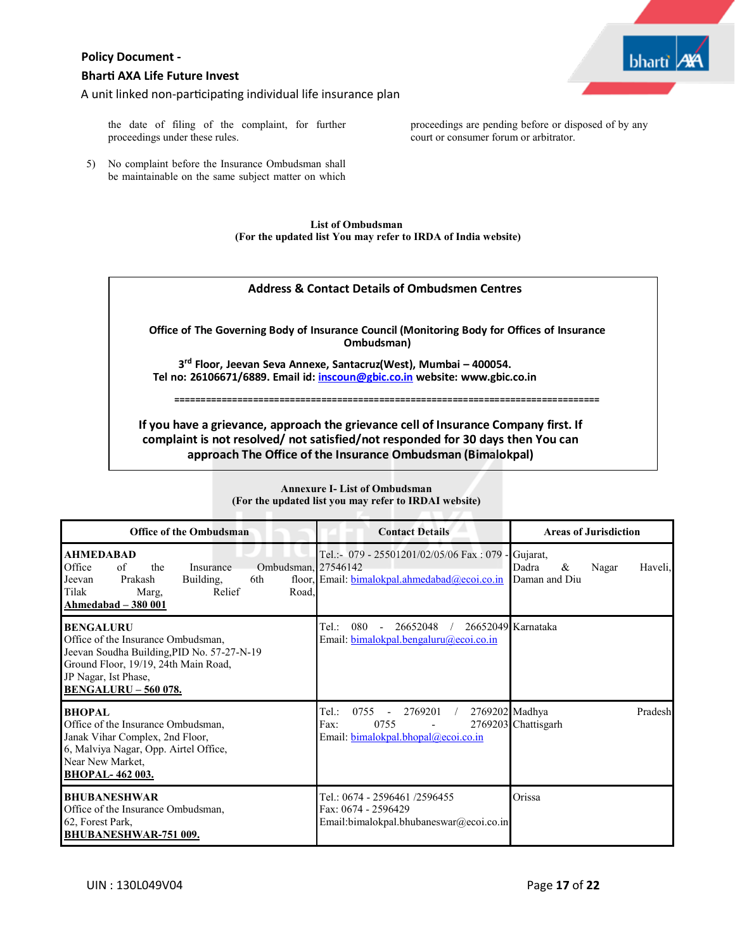# **Bhar� AXA Life Future Invest**

A unit linked non-participating individual life insurance plan



proceedings are pending before or disposed of by any

court or consumer forum or arbitrator.

the date of filing of the complaint, for further proceedings under these rules.

5) No complaint before the Insurance Ombudsman shall be maintainable on the same subject matter on which

> **List of Ombudsman (For the updated list You may refer to IRDA of India website)**

# **Address & Contact Details of Ombudsmen Centres**

**Office of The Governing Body of Insurance Council (Monitoring Body for Offices of Insurance Ombudsman)**

**3rd Floor, Jeevan Seva Annexe, Santacruz(West), Mumbai – 400054. Tel no: 26106671/6889. Email id: inscoun@gbic.co.in website: www.gbic.co.in**

**=================================================================================**

**If you have a grievance, approach the grievance cell of Insurance Company first. If complaint is not resolved/ not satisfied/not responded for 30 days then You can approach The Office of the Insurance Ombudsman (Bimalokpal)**

| <b>Office of the Ombudsman</b>                                                                                                                                                                      | <b>Contact Details</b>                                                                                                       | <b>Areas of Jurisdiction</b>                                |
|-----------------------------------------------------------------------------------------------------------------------------------------------------------------------------------------------------|------------------------------------------------------------------------------------------------------------------------------|-------------------------------------------------------------|
| <b>AHMEDABAD</b><br>Ombudsman, 27546142<br>Office<br>the<br>of<br>Insurance<br>Prakash<br>Jeevan<br>Building,<br>6th<br>Relief<br>Tilak<br>Marg,<br>Road.<br>Ahmedabad – 380 001                    | Tel.:- 079 - 25501201/02/05/06 Fax: 079 -<br>floor, Email: bimalokpal.ahmedabad@ecoi.co.in                                   | Gujarat,<br>Dadra<br>&<br>Nagar<br>Haveli.<br>Daman and Diu |
| <b>BENGALURU</b><br>Office of the Insurance Ombudsman,<br>Jeevan Soudha Building, PID No. 57-27-N-19<br>Ground Floor, 19/19, 24th Main Road,<br>JP Nagar, Ist Phase,<br><b>BENGALURU - 560 078.</b> | 080<br>26652048<br>Tel:<br>Email: bimalokpal.bengaluru@ecoi.co.in                                                            | 26652049 Karnataka                                          |
| <b>BHOPAL</b><br>Office of the Insurance Ombudsman,<br>Janak Vihar Complex, 2nd Floor,<br>6, Malviya Nagar, Opp. Airtel Office,<br>Near New Market,<br><b>BHOPAL-462003.</b>                        | 2769202 Madhya<br>Tel:<br>0755<br>2769201<br>$\overline{\phantom{a}}$<br>Fax:<br>0755<br>Email: bimalokpal.bhopal@ecoi.co.in | Pradesh<br>2769203 Chattisgarh                              |
| <b>BHUBANESHWAR</b><br>Office of the Insurance Ombudsman,<br>62, Forest Park,<br><b>BHUBANESHWAR-751 009.</b>                                                                                       | Tel.: 0674 - 2596461 /2596455<br>Fax: 0674 - 2596429<br>Email:bimalokpal.bhubaneswar@ecoi.co.in                              | Orissa                                                      |

# **Annexure I- List of Ombudsman** (For the updated list you may refer to IRDAI website)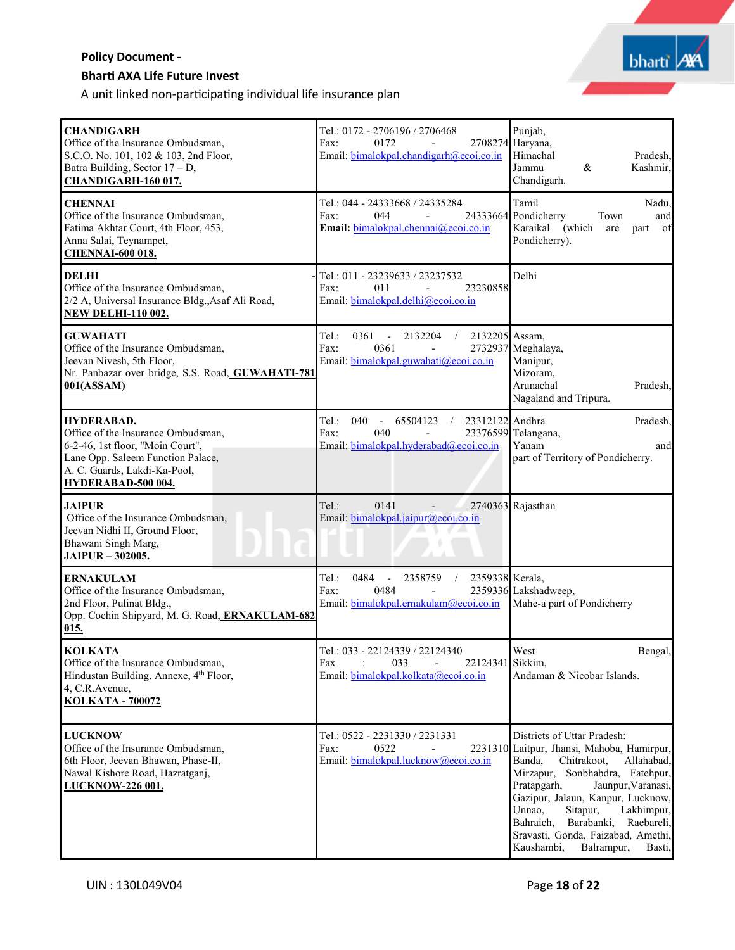# **Bhar� AXA Life Future Invest**

A unit linked non-participating individual life insurance plan

| <b>CHANDIGARH</b><br>Office of the Insurance Ombudsman,<br>S.C.O. No. 101, 102 & 103, 2nd Floor,<br>Batra Building, Sector 17 - D,<br><b>CHANDIGARH-160 017.</b>                | Tel.: 0172 - 2706196 / 2706468<br>Fax:<br>0172<br>Email: bimalokpal.chandigarh@ecoi.co.in                                                       | Punjab,<br>2708274 Haryana,<br>Himachal<br>Pradesh,<br>Jammu<br>&<br>Kashmir,<br>Chandigarh.                                                                                                                                                                                                                                                                                           |
|---------------------------------------------------------------------------------------------------------------------------------------------------------------------------------|-------------------------------------------------------------------------------------------------------------------------------------------------|----------------------------------------------------------------------------------------------------------------------------------------------------------------------------------------------------------------------------------------------------------------------------------------------------------------------------------------------------------------------------------------|
| <b>CHENNAI</b><br>Office of the Insurance Ombudsman,<br>Fatima Akhtar Court, 4th Floor, 453,<br>Anna Salai, Teynampet,<br><b>CHENNAI-600 018.</b>                               | Tel.: 044 - 24333668 / 24335284<br>044<br>Fax:<br>$\overline{\phantom{a}}$<br>Email: bimalokpal.chennai@ecoi.co.in                              | Tamil<br>Nadu,<br>24333664 Pondicherry<br>Town<br>and<br>Karaikal<br>(which<br>- of<br>are<br>part<br>Pondicherry).                                                                                                                                                                                                                                                                    |
| <b>DELHI</b><br>Office of the Insurance Ombudsman,<br>2/2 A, Universal Insurance Bldg., Asaf Ali Road,<br><b>NEW DELHI-110 002.</b>                                             | Tel.: 011 - 23239633 / 23237532<br>011<br>23230858<br>Fax:<br>$\blacksquare$<br>Email: bimalokpal.delhi@ecoi.co.in                              | Delhi                                                                                                                                                                                                                                                                                                                                                                                  |
| <b>GUWAHATI</b><br>Office of the Insurance Ombudsman,<br>Jeevan Nivesh, 5th Floor,<br>Nr. Panbazar over bridge, S.S. Road, GUWAHATI-781<br>001(ASSAM)                           | Tel.:<br>0361<br>2132204<br>2132205 Assam,<br>$\blacksquare$<br>$\sqrt{2}$<br>Fax:<br>0361<br>Email: bimalokpal.guwahati@ecoi.co.in             | 2732937 Meghalaya,<br>Manipur,<br>Mizoram,<br>Arunachal<br>Pradesh,<br>Nagaland and Tripura.                                                                                                                                                                                                                                                                                           |
| HYDERABAD.<br>Office of the Insurance Ombudsman,<br>6-2-46, 1st floor, "Moin Court",<br>Lane Opp. Saleem Function Palace,<br>A. C. Guards, Lakdi-Ka-Pool,<br>HYDERABAD-500 004. | Tel.:<br>040<br>23312122 Andhra<br>65504123<br>$\sim$<br>Fax:<br>040<br>Email: bimalokpal.hyderabad@ecoi.co.in                                  | Pradesh,<br>23376599 Telangana,<br>Yanam<br>and<br>part of Territory of Pondicherry.                                                                                                                                                                                                                                                                                                   |
| <b>JAIPUR</b><br>Office of the Insurance Ombudsman,<br>Jeevan Nidhi II, Ground Floor,<br>Bhawani Singh Marg,<br>JAIPUR - 302005.                                                | Tel.:<br>0141<br>$\mathcal{L}$<br>Email: bimalokpal.jaipur@ecoi.co.in                                                                           | 2740363 Rajasthan                                                                                                                                                                                                                                                                                                                                                                      |
| <b>ERNAKULAM</b><br>Office of the Insurance Ombudsman,<br>2nd Floor, Pulinat Bldg.,<br>Opp. Cochin Shipyard, M. G. Road, ERNAKULAM-682<br>015.                                  | Tel.:<br>0484<br>2358759<br>2359338 Kerala,<br>$\overline{\phantom{a}}$<br>$\sqrt{2}$<br>0484<br>Fax:<br>Email: bimalokpal.ernakulam@ecoi.co.in | 2359336 Lakshadweep,<br>Mahe-a part of Pondicherry                                                                                                                                                                                                                                                                                                                                     |
| <b>KOLKATA</b><br>Office of the Insurance Ombudsman,<br>Hindustan Building. Annexe, 4th Floor,<br>4, C.R. Avenue,<br><b>KOLKATA - 700072</b>                                    | Tel.: 033 - 22124339 / 22124340<br>033<br>22124341 Sikkim,<br>Fax<br>Email: bimalokpal.kolkata@ecoi.co.in                                       | West<br>Bengal,<br>Andaman & Nicobar Islands.                                                                                                                                                                                                                                                                                                                                          |
| <b>LUCKNOW</b><br>Office of the Insurance Ombudsman,<br>6th Floor, Jeevan Bhawan, Phase-II,<br>Nawal Kishore Road, Hazratganj,<br>LUCKNOW-226 001.                              | Tel.: 0522 - 2231330 / 2231331<br>Fax:<br>0522<br>Email: bimalokpal.lucknow@ecoi.co.in                                                          | Districts of Uttar Pradesh:<br>2231310 Laitpur, Jhansi, Mahoba, Hamirpur,<br>Banda,<br>Chitrakoot,<br>Allahabad.<br>Mirzapur, Sonbhabdra, Fatehpur,<br>Pratapgarh,<br>Jaunpur, Varanasi,<br>Gazipur, Jalaun, Kanpur, Lucknow,<br>Unnao,<br>Sitapur,<br>Lakhimpur,<br>Bahraich,<br>Barabanki,<br>Raebareli,<br>Sravasti, Gonda, Faizabad, Amethi,<br>Kaushambi,<br>Balrampur,<br>Basti, |

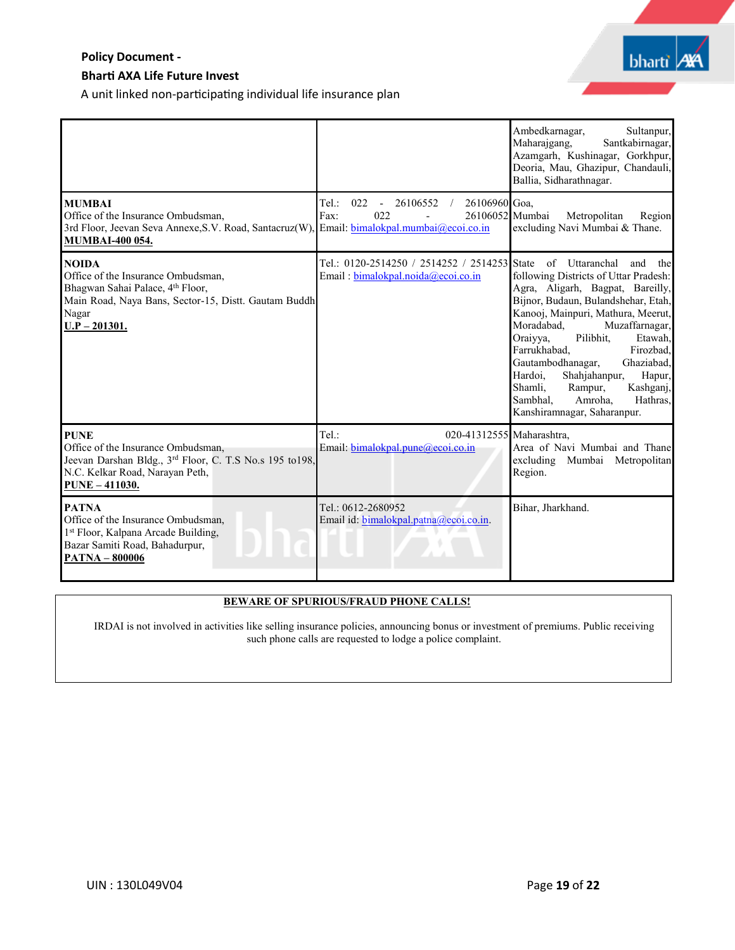# **Bhar� AXA Life Future Invest**

A unit linked non-participating individual life insurance plan

|                                                                                                                                                                            |                                                                                                                               | Ambedkarnagar,<br>Sultanpur,<br>Maharajgang,<br>Santkabirnagar,<br>Azamgarh, Kushinagar, Gorkhpur,<br>Deoria, Mau, Ghazipur, Chandauli,<br>Ballia, Sidharathnagar.                                                                                                                                                                                                                                                                                                    |
|----------------------------------------------------------------------------------------------------------------------------------------------------------------------------|-------------------------------------------------------------------------------------------------------------------------------|-----------------------------------------------------------------------------------------------------------------------------------------------------------------------------------------------------------------------------------------------------------------------------------------------------------------------------------------------------------------------------------------------------------------------------------------------------------------------|
| <b>MUMBAI</b><br>Office of the Insurance Ombudsman,<br>3rd Floor, Jeevan Seva Annexe, S.V. Road, Santacruz(W),<br><b>MUMBAI-400 054.</b>                                   | 022<br>26106960 Goa,<br>Tel:<br>26106552 /<br>$\sim$<br>022<br>26106052 Mumbai<br>Fax:<br>Email: bimalokpal.mumbai@ecoi.co.in | Metropolitan<br>Region<br>excluding Navi Mumbai & Thane.                                                                                                                                                                                                                                                                                                                                                                                                              |
| <b>NOIDA</b><br>Office of the Insurance Ombudsman.<br>Bhagwan Sahai Palace, 4th Floor,<br>Main Road, Naya Bans, Sector-15, Distt. Gautam Buddh<br>Nagar<br>$U.P - 201301.$ | Tel.: 0120-2514250 / 2514252 / 2514253 State<br>Email: bimalokpal.noida@ecoi.co.in                                            | of Uttaranchal<br>and<br>the<br>following Districts of Uttar Pradesh:<br>Agra, Aligarh, Bagpat, Bareilly,<br>Bijnor, Budaun, Bulandshehar, Etah,<br>Kanooj, Mainpuri, Mathura, Meerut,<br>Moradabad.<br>Muzaffarnagar,<br>Oraiyya,<br>Pilibhit.<br>Etawah.<br>Farrukhabad.<br>Firozbad,<br>Gautambodhanagar,<br>Ghaziabad.<br>Hardoi,<br>Shahjahanpur,<br>Hapur,<br>Shamli,<br>Rampur,<br>Kashganj,<br>Sambhal.<br>Amroha.<br>Hathras,<br>Kanshiramnagar, Saharanpur. |
| <b>PUNE</b><br>Office of the Insurance Ombudsman,<br>Jeevan Darshan Bldg., 3rd Floor, C. T.S No.s 195 to198,<br>N.C. Kelkar Road, Narayan Peth,<br><b>PUNE - 411030.</b>   | $Tel.$ :<br>020-41312555 Maharashtra,<br>Email: bimalokpal.pune@ecoi.co.in                                                    | Area of Navi Mumbai and Thane<br>excluding Mumbai Metropolitan<br>Region.                                                                                                                                                                                                                                                                                                                                                                                             |
| <b>PATNA</b><br>Office of the Insurance Ombudsman,<br>1st Floor, Kalpana Arcade Building,<br>Bazar Samiti Road, Bahadurpur,<br><b>PATNA - 800006</b>                       | Tel.: 0612-2680952<br>Email id: bimalokpal.patna@ecoi.co.in.                                                                  | Bihar, Jharkhand.                                                                                                                                                                                                                                                                                                                                                                                                                                                     |

# **BEWARE OF SPURIOUS/FRAUD PHONE CALLS!**

IRDAI is not involved in activities like selling insurance policies, announcing bonus or investment of premiums. Public receiving such phone calls are requested to lodge a police complaint.

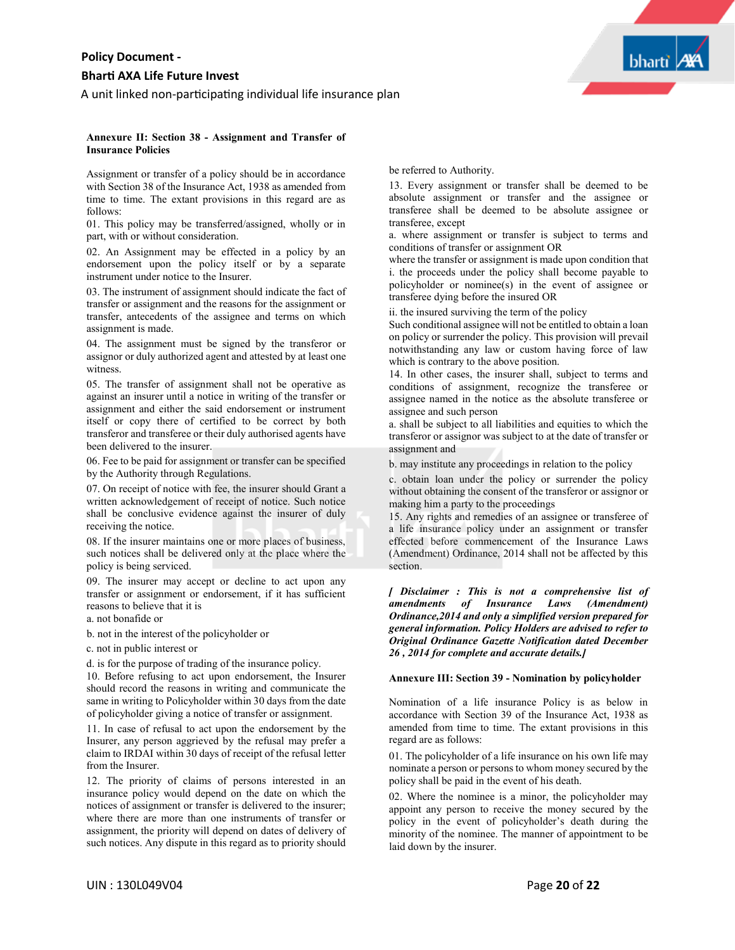A unit linked non-participating individual life insurance plan



#### **Annexure II: Section 38 - Assignment and Transfer of Insurance Policies**

Assignment or transfer of a policy should be in accordance with Section 38 of the Insurance Act, 1938 as amended from time to time. The extant provisions in this regard are as follows:

01. This policy may be transferred/assigned, wholly or in part, with or without consideration.

02. An Assignment may be effected in a policy by an endorsement upon the policy itself or by a separate instrument under notice to the Insurer.

03. The instrument of assignment should indicate the fact of transfer or assignment and the reasons for the assignment or transfer, antecedents of the assignee and terms on which assignment is made.

04. The assignment must be signed by the transferor or assignor or duly authorized agent and attested by at least one witness.

05. The transfer of assignment shall not be operative as against an insurer until a notice in writing of the transfer or assignment and either the said endorsement or instrument itself or copy there of certified to be correct by both transferor and transferee or their duly authorised agents have been delivered to the insurer.

06. Fee to be paid for assignment or transfer can be specified by the Authority through Regulations.

07. On receipt of notice with fee, the insurer should Grant a written acknowledgement of receipt of notice. Such notice shall be conclusive evidence against the insurer of duly receiving the notice.

08. If the insurer maintains one or more places of business, such notices shall be delivered only at the place where the policy is being serviced.

09. The insurer may accept or decline to act upon any transfer or assignment or endorsement, if it has sufficient reasons to believe that it is

- a. not bonafide or
- b. not in the interest of the policyholder or
- c. not in public interest or

d. is for the purpose of trading of the insurance policy.

10. Before refusing to act upon endorsement, the Insurer should record the reasons in writing and communicate the same in writing to Policyholder within 30 days from the date of policyholder giving a notice of transfer or assignment.

11. In case of refusal to act upon the endorsement by the Insurer, any person aggrieved by the refusal may prefer a claim to IRDAI within 30 days of receipt of the refusal letter from the Insurer.

12. The priority of claims of persons interested in an insurance policy would depend on the date on which the notices of assignment or transfer is delivered to the insurer; where there are more than one instruments of transfer or assignment, the priority will depend on dates of delivery of such notices. Any dispute in this regard as to priority should

be referred to Authority.

13. Every assignment or transfer shall be deemed to be absolute assignment or transfer and the assignee or transferee shall be deemed to be absolute assignee or transferee, except

a. where assignment or transfer is subject to terms and conditions of transfer or assignment OR

where the transfer or assignment is made upon condition that i. the proceeds under the policy shall become payable to policyholder or nominee(s) in the event of assignee or transferee dying before the insured OR

ii. the insured surviving the term of the policy

Such conditional assignee will not be entitled to obtain a loan on policy or surrender the policy. This provision will prevail notwithstanding any law or custom having force of law which is contrary to the above position.

14. In other cases, the insurer shall, subject to terms and conditions of assignment, recognize the transferee or assignee named in the notice as the absolute transferee or assignee and such person

a. shall be subject to all liabilities and equities to which the transferor or assignor was subject to at the date of transfer or assignment and

b. may institute any proceedings in relation to the policy

c. obtain loan under the policy or surrender the policy without obtaining the consent of the transferor or assignor or making him a party to the proceedings

15. Any rights and remedies of an assignee or transferee of a life insurance policy under an assignment or transfer effected before commencement of the Insurance Laws (Amendment) Ordinance, 2014 shall not be affected by this section.

*[ Disclaimer : This is not a comprehensive list of amendments of Insurance Laws (Amendment) Ordinance,2014 and only a simplified version prepared for general information. Policy Holders are advised to refer to Original Ordinance Gazette Notification dated December 26 , 2014 for complete and accurate details.]*

### **Annexure III: Section 39 - Nomination by policyholder**

Nomination of a life insurance Policy is as below in accordance with Section 39 of the Insurance Act, 1938 as amended from time to time. The extant provisions in this regard are as follows:

01. The policyholder of a life insurance on his own life may nominate a person or persons to whom money secured by the policy shall be paid in the event of his death.

02. Where the nominee is a minor, the policyholder may appoint any person to receive the money secured by the policy in the event of policyholder's death during the minority of the nominee. The manner of appointment to be laid down by the insurer.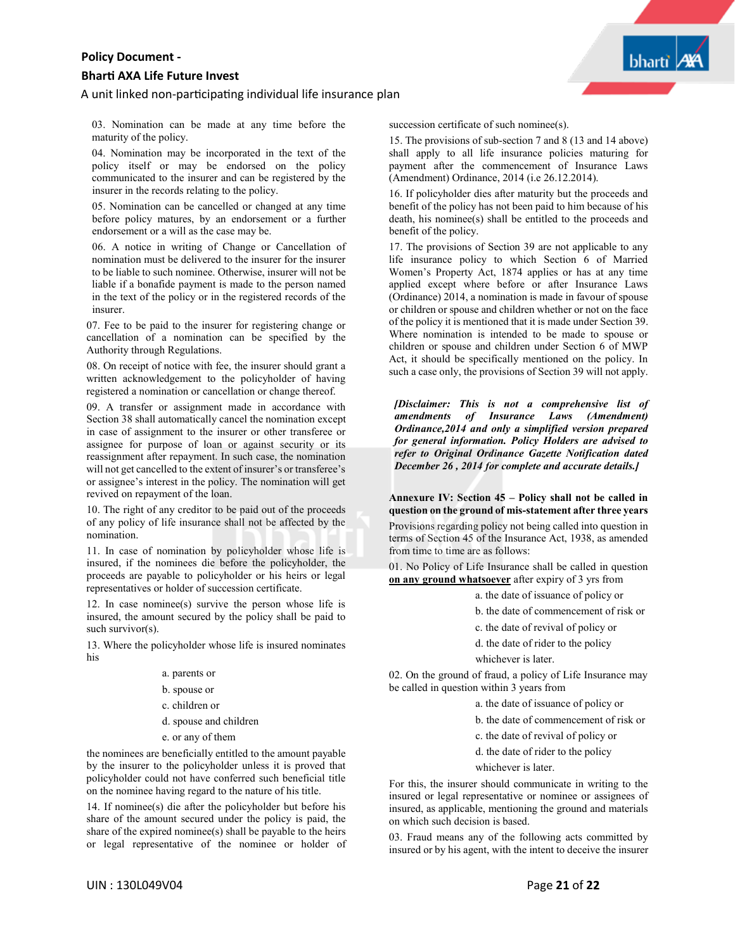#### **Bhar� AXA Life Future Invest**

#### A unit linked non-participating individual life insurance plan

**bharti** 

03. Nomination can be made at any time before the maturity of the policy.

04. Nomination may be incorporated in the text of the policy itself or may be endorsed on the policy communicated to the insurer and can be registered by the insurer in the records relating to the policy.

05. Nomination can be cancelled or changed at any time before policy matures, by an endorsement or a further endorsement or a will as the case may be.

06. A notice in writing of Change or Cancellation of nomination must be delivered to the insurer for the insurer to be liable to such nominee. Otherwise, insurer will not be liable if a bonafide payment is made to the person named in the text of the policy or in the registered records of the insurer.

07. Fee to be paid to the insurer for registering change or cancellation of a nomination can be specified by the Authority through Regulations.

08. On receipt of notice with fee, the insurer should grant a written acknowledgement to the policyholder of having registered a nomination or cancellation or change thereof.

09. A transfer or assignment made in accordance with Section 38 shall automatically cancel the nomination except in case of assignment to the insurer or other transferee or assignee for purpose of loan or against security or its reassignment after repayment. In such case, the nomination will not get cancelled to the extent of insurer's or transferee's or assignee's interest in the policy. The nomination will get revived on repayment of the loan.

10. The right of any creditor to be paid out of the proceeds of any policy of life insurance shall not be affected by the nomination.

11. In case of nomination by policyholder whose life is insured, if the nominees die before the policyholder, the proceeds are payable to policyholder or his heirs or legal representatives or holder of succession certificate.

12. In case nominee(s) survive the person whose life is insured, the amount secured by the policy shall be paid to such survivor(s).

13. Where the policyholder whose life is insured nominates his

- a. parents or
- b. spouse or
- c. children or
- d. spouse and children
- e. or any of them

the nominees are beneficially entitled to the amount payable by the insurer to the policyholder unless it is proved that policyholder could not have conferred such beneficial title on the nominee having regard to the nature of his title.

14. If nominee(s) die after the policyholder but before his share of the amount secured under the policy is paid, the share of the expired nominee(s) shall be payable to the heirs or legal representative of the nominee or holder of succession certificate of such nominee(s).

15. The provisions of sub-section 7 and 8 (13 and 14 above) shall apply to all life insurance policies maturing for payment after the commencement of Insurance Laws (Amendment) Ordinance, 2014 (i.e 26.12.2014).

16. If policyholder dies after maturity but the proceeds and benefit of the policy has not been paid to him because of his death, his nominee(s) shall be entitled to the proceeds and benefit of the policy.

17. The provisions of Section 39 are not applicable to any life insurance policy to which Section 6 of Married Women's Property Act, 1874 applies or has at any time applied except where before or after Insurance Laws (Ordinance) 2014, a nomination is made in favour of spouse or children or spouse and children whether or not on the face of the policy it is mentioned that it is made under Section 39. Where nomination is intended to be made to spouse or children or spouse and children under Section 6 of MWP Act, it should be specifically mentioned on the policy. In such a case only, the provisions of Section 39 will not apply.

*[Disclaimer: This is not a comprehensive list of amendments of Insurance Laws (Amendment) Ordinance,2014 and only a simplified version prepared for general information. Policy Holders are advised to refer to Original Ordinance Gazette Notification dated December 26 , 2014 for complete and accurate details.]*

**Annexure IV: Section 45 – Policy shall not be called in question on the ground of mis-statement after three years**

Provisions regarding policy not being called into question in terms of Section 45 of the Insurance Act, 1938, as amended from time to time are as follows:

01. No Policy of Life Insurance shall be called in question **on any ground whatsoever** after expiry of 3 yrs from

a. the date of issuance of policy or

b. the date of commencement of risk or

c. the date of revival of policy or

d. the date of rider to the policy

whichever is later.

02. On the ground of fraud, a policy of Life Insurance may be called in question within 3 years from

a. the date of issuance of policy or

b. the date of commencement of risk or

c. the date of revival of policy or

d. the date of rider to the policy

whichever is later.

For this, the insurer should communicate in writing to the insured or legal representative or nominee or assignees of insured, as applicable, mentioning the ground and materials on which such decision is based.

03. Fraud means any of the following acts committed by insured or by his agent, with the intent to deceive the insurer